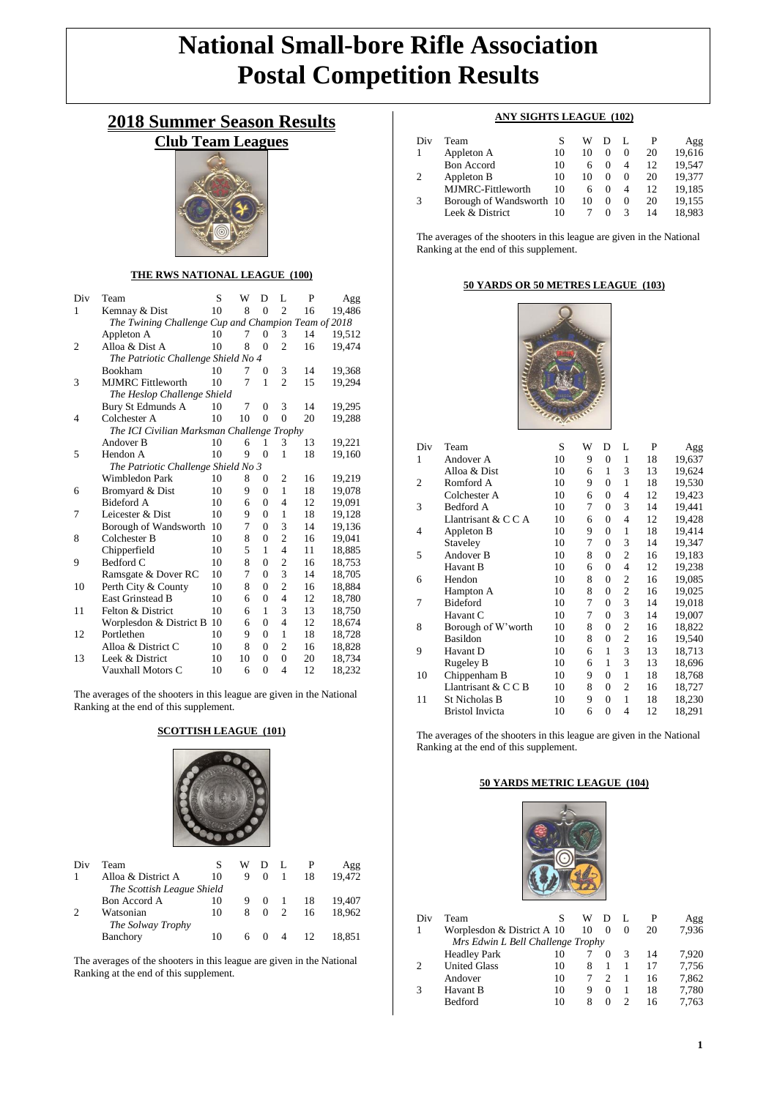# **National Small-bore Rifle Association Postal Competition Results**

## **2018 Summer Season Results**

## **Club Team Leagues**



#### **THE RWS NATIONAL LEAGUE (100)**

| Div | Team                                                | S  | W  | D              | L              | P  | Agg    |  |
|-----|-----------------------------------------------------|----|----|----------------|----------------|----|--------|--|
| 1   | Kemnay & Dist                                       | 10 | 8  | $\theta$       | $\overline{c}$ | 16 | 19,486 |  |
|     | The Twining Challenge Cup and Champion Team of 2018 |    |    |                |                |    |        |  |
|     | Appleton A                                          | 10 | 7  | $\theta$       | 3              | 14 | 19,512 |  |
| 2   | Alloa & Dist A                                      | 10 | 8  | $\theta$       | $\overline{c}$ | 16 | 19,474 |  |
|     | The Patriotic Challenge Shield No 4                 |    |    |                |                |    |        |  |
|     | <b>Bookham</b>                                      | 10 | 7  | $\Omega$       | 3              | 14 | 19,368 |  |
| 3   | <b>MJMRC</b> Fittleworth                            | 10 | 7  | 1              | $\overline{c}$ | 15 | 19,294 |  |
|     | The Heslop Challenge Shield                         |    |    |                |                |    |        |  |
|     | Bury St Edmunds A                                   | 10 | 7  | $\Omega$       | 3              | 14 | 19,295 |  |
| 4   | Colchester A                                        | 10 | 10 | $\theta$       | $\theta$       | 20 | 19,288 |  |
|     | The ICI Civilian Marksman Challenge Trophy          |    |    |                |                |    |        |  |
|     | Andover B                                           | 10 | 6  | 1              | 3              | 13 | 19,221 |  |
| 5   | Hendon A                                            | 10 | 9  | $\theta$       | 1              | 18 | 19,160 |  |
|     | The Patriotic Challenge Shield No 3                 |    |    |                |                |    |        |  |
|     | Wimbledon Park                                      | 10 | 8  | $\Omega$       | $\overline{2}$ | 16 | 19,219 |  |
| 6   | Bromyard & Dist                                     | 10 | 9  | $\Omega$       | 1              | 18 | 19,078 |  |
|     | <b>Bideford A</b>                                   | 10 | 6  | $\Omega$       | 4              | 12 | 19,091 |  |
| 7   | Leicester & Dist                                    | 10 | 9  | $\theta$       | 1              | 18 | 19,128 |  |
|     | Borough of Wandsworth                               | 10 | 7  | $\Omega$       | 3              | 14 | 19,136 |  |
| 8   | Colchester B                                        | 10 | 8  | $\overline{0}$ | $\overline{2}$ | 16 | 19,041 |  |
|     | Chipperfield                                        | 10 | 5  | 1              | $\overline{4}$ | 11 | 18,885 |  |
| 9   | Bedford C                                           | 10 | 8  | $\theta$       | $\overline{c}$ | 16 | 18,753 |  |
|     | Ramsgate & Dover RC                                 | 10 | 7  | $\theta$       | 3              | 14 | 18,705 |  |
| 10  | Perth City & County                                 | 10 | 8  | $\theta$       | $\overline{2}$ | 16 | 18,884 |  |
|     | <b>East Grinstead B</b>                             | 10 | 6  | $\theta$       | $\overline{4}$ | 12 | 18,780 |  |
| 11  | Felton & District                                   | 10 | 6  | 1              | 3              | 13 | 18,750 |  |
|     | Worplesdon & District B                             | 10 | 6  | $\theta$       | $\overline{4}$ | 12 | 18,674 |  |
| 12  | Portlethen                                          | 10 | 9  | $\theta$       | 1              | 18 | 18,728 |  |
|     | Alloa & District C                                  | 10 | 8  | $\Omega$       | $\overline{2}$ | 16 | 18,828 |  |
| 13  | Leek & District                                     | 10 | 10 | $\theta$       | $\overline{0}$ | 20 | 18,734 |  |
|     | Vauxhall Motors C                                   | 10 | 6  | $\theta$       | 4              | 12 | 18,232 |  |

The averages of the shooters in this league are given in the National Ranking at the end of this supplement.

#### **SCOTTISH LEAGUE (101)**



| Div | Team                           | S  | W |            | - L            | P   | Agg    |
|-----|--------------------------------|----|---|------------|----------------|-----|--------|
|     | Alloa & District A             | 10 | 9 | $\Omega$   | 1              | 18  | 19,472 |
|     | The Scottish League Shield     |    |   |            |                |     |        |
|     | Bon Accord A                   | 10 | 9 | $\bigcirc$ |                | -18 | 19.407 |
|     | Watsonian<br>The Solway Trophy | 10 | 8 | $\Omega$   | 2              | 16  | 18.962 |
|     | Banchory                       | 10 |   | 6 0        | $\overline{4}$ | 12  | 18.851 |

The averages of the shooters in this league are given in the National Ranking at the end of this supplement.

### **ANY SIGHTS LEAGUE (102)**

| Div | Team                     |    | w  |          |   |    | Agg    |
|-----|--------------------------|----|----|----------|---|----|--------|
|     | Appleton A               | 10 | 10 |          | 0 | 20 | 19,616 |
|     | <b>Bon Accord</b>        | 10 |    |          | 4 | 12 | 19.547 |
|     | Appleton B               | 10 | 10 | $\theta$ | 0 | 20 | 19,377 |
|     | MJMRC-Fittleworth        | 10 | 6  | $\theta$ | 4 | 12 | 19,185 |
|     | Borough of Wandsworth 10 |    | 10 | $\Omega$ | 0 | 20 | 19,155 |
|     | Leek & District          | 10 |    |          | 3 | 14 | 18.983 |

The averages of the shooters in this league are given in the National Ranking at the end of this supplement.

#### **50 YARDS OR 50 METRES LEAGUE (103)**



| Div            | Team                   | S  | W | D                | L              | P  | Agg    |
|----------------|------------------------|----|---|------------------|----------------|----|--------|
| 1              | Andover A              | 10 | 9 | 0                | 1              | 18 | 19,637 |
|                | Alloa & Dist           | 10 | 6 | 1                | 3              | 13 | 19,624 |
| $\overline{c}$ | Romford A              | 10 | 9 | $\overline{0}$   | 1              | 18 | 19,530 |
|                | Colchester A           | 10 | 6 | 0                | 4              | 12 | 19,423 |
| 3              | <b>Bedford A</b>       | 10 | 7 | $\overline{0}$   | 3              | 14 | 19,441 |
|                | Llantrisant & C C A    | 10 | 6 | 0                | 4              | 12 | 19,428 |
| 4              | Appleton B             | 10 | 9 | $\overline{0}$   | 1              | 18 | 19,414 |
|                | Staveley               | 10 | 7 | 0                | 3              | 14 | 19,347 |
| 5              | Andover B              | 10 | 8 | 0                | $\mathfrak{2}$ | 16 | 19,183 |
|                | Havant B               | 10 | 6 | 0                | 4              | 12 | 19,238 |
| 6              | Hendon                 | 10 | 8 | 0                | 2              | 16 | 19,085 |
|                | Hampton A              | 10 | 8 | 0                | $\overline{c}$ | 16 | 19,025 |
| 7              | <b>Bideford</b>        | 10 | 7 | $\boldsymbol{0}$ | 3              | 14 | 19,018 |
|                | Havant C               | 10 | 7 | 0                | 3              | 14 | 19,007 |
| 8              | Borough of W'worth     | 10 | 8 | $\boldsymbol{0}$ | $\mathfrak{2}$ | 16 | 18,822 |
|                | <b>Basildon</b>        | 10 | 8 | 0                | $\overline{c}$ | 16 | 19,540 |
| 9              | Havant D               | 10 | 6 | $\mathbf{1}$     | 3              | 13 | 18,713 |
|                | Rugeley B              | 10 | 6 | 1                | 3              | 13 | 18,696 |
| 10             | Chippenham B           | 10 | 9 | 0                | 1              | 18 | 18,768 |
|                | Llantrisant & $C C B$  | 10 | 8 | 0                | $\overline{c}$ | 16 | 18,727 |
| 11             | St Nicholas B          | 10 | 9 | $\overline{0}$   | $\mathbf{1}$   | 18 | 18,230 |
|                | <b>Bristol Invicta</b> | 10 | 6 | $\overline{0}$   | 4              | 12 | 18,291 |
|                |                        |    |   |                  |                |    |        |

The averages of the shooters in this league are given in the National Ranking at the end of this supplement.

#### **50 YARDS METRIC LEAGUE (104)**



| Div                               | Team                       |    | W  |          |   | P  | Agg   |  |
|-----------------------------------|----------------------------|----|----|----------|---|----|-------|--|
|                                   | Worplesdon & District A 10 |    | 10 | 0        | 0 | 20 | 7,936 |  |
| Mrs Edwin L Bell Challenge Trophy |                            |    |    |          |   |    |       |  |
|                                   | <b>Headley Park</b>        | 10 |    |          |   | 14 | 7,920 |  |
| 2                                 | <b>United Glass</b>        | 10 | 8  |          |   | 17 | 7,756 |  |
|                                   | Andover                    | 10 |    |          |   | 16 | 7,862 |  |
|                                   | Havant B                   | 10 | 9  | $\Omega$ |   | 18 | 7,780 |  |
|                                   | <b>Bedford</b>             | 10 | 8  | $\Omega$ |   | 16 | 7.763 |  |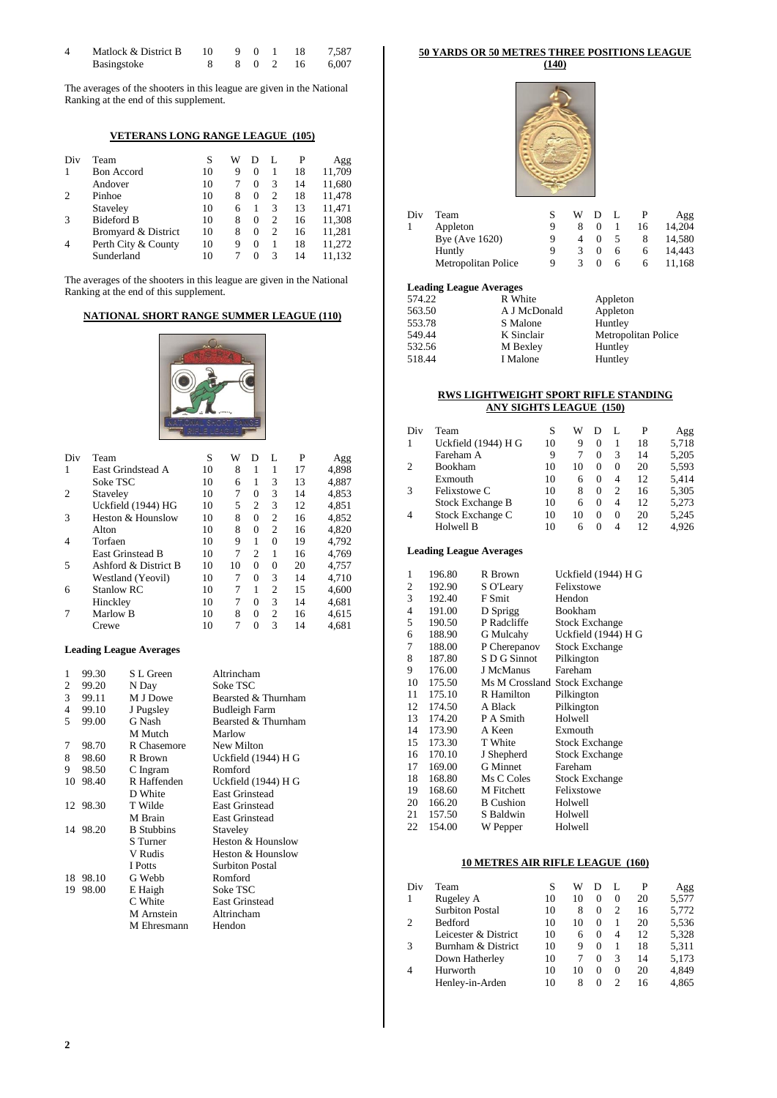| Matlock & District B |  |  | 10 9 0 1 18 | 7.587          |
|----------------------|--|--|-------------|----------------|
| Basingstoke          |  |  |             | 8 0 2 16 6,007 |

The averages of the shooters in this league are given in the National Ranking at the end of this supplement.

## **VETERANS LONG RANGE LEAGUE (105)**

| Div | Team                | S  | W |          |   | P  | Agg    |
|-----|---------------------|----|---|----------|---|----|--------|
|     | <b>Bon Accord</b>   | 10 | 9 | 0        |   | 18 | 11,709 |
|     | Andover             | 10 |   | $\Omega$ | 3 | 14 | 11,680 |
| 2   | Pinhoe              | 10 | 8 | $\Omega$ | 2 | 18 | 11,478 |
|     | Staveley            | 10 | 6 |          | 3 | 13 | 11,471 |
| 3   | <b>Bideford B</b>   | 10 | 8 | $\Omega$ | っ | 16 | 11,308 |
|     | Bromyard & District | 10 | 8 | 0        | 2 | 16 | 11,281 |
| 4   | Perth City & County | 10 | 9 | $\Omega$ |   | 18 | 11,272 |
|     | Sunderland          | 10 |   | $\Omega$ | 3 | 14 | 11.132 |

The averages of the shooters in this league are given in the National Ranking at the end of this supplement.

### **NATIONAL SHORT RANGE SUMMER LEAGUE (110)**



| Div | Team                    | S  | W  | D                           | L              | P  | Agg   |
|-----|-------------------------|----|----|-----------------------------|----------------|----|-------|
| 1   | East Grindstead A       | 10 | 8  | 1                           | 1              | 17 | 4.898 |
|     | Soke TSC                | 10 | 6  | 1                           | 3              | 13 | 4.887 |
| 2   | Staveley                | 10 | 7  | $\Omega$                    | 3              | 14 | 4.853 |
|     | Uckfield (1944) HG      | 10 | 5  | $\overline{c}$              | 3              | 12 | 4.851 |
| 3   | Heston & Hounslow       | 10 | 8  | $\Omega$                    | $\overline{c}$ | 16 | 4.852 |
|     | Alton                   | 10 | 8  | $\Omega$                    | $\overline{c}$ | 16 | 4,820 |
| 4   | Torfaen                 | 10 | 9  | 1                           | $\Omega$       | 19 | 4,792 |
|     | <b>East Grinstead B</b> | 10 | 7  | $\mathcal{D}_{\mathcal{L}}$ | 1              | 16 | 4.769 |
| 5   | Ashford & District B    | 10 | 10 | $\Omega$                    | $\Omega$       | 20 | 4.757 |
|     | Westland (Yeovil)       | 10 | 7  | $\Omega$                    | 3              | 14 | 4.710 |
| 6   | <b>Stanlow RC</b>       | 10 | 7  | 1                           | $\overline{c}$ | 15 | 4.600 |
|     | Hinckley                | 10 | 7  | $\Omega$                    | 3              | 14 | 4.681 |
|     | Marlow B                | 10 | 8  | $\theta$                    | $\overline{c}$ | 16 | 4.615 |
|     | Crewe                   | 10 | 7  | 0                           | 3              | 14 | 4.681 |

#### **Leading League Averages**

| 1  | 99.30    | S L Green         | Altrincham             |
|----|----------|-------------------|------------------------|
| 2  | 99.20    | N Day             | Soke TSC               |
| 3  | 99.11    | M J Dowe          | Bearsted & Thurnham    |
| 4  | 99.10    | J Pugsley         | <b>Budleigh Farm</b>   |
| 5  | 99.00    | G Nash            | Bearsted & Thurnham    |
|    |          | M Mutch           | Marlow                 |
| 7  | 98.70    | R Chasemore       | New Milton             |
| 8  | 98.60    | R Brown           | Uckfield (1944) H G    |
| 9  | 98.50    | C Ingram          | Romford                |
| 10 | 98.40    | R Haffenden       | Uckfield (1944) H G    |
|    |          | D White           | <b>East Grinstead</b>  |
|    | 12 98.30 | T Wilde           | <b>East Grinstead</b>  |
|    |          | M Brain           | <b>East Grinstead</b>  |
| 14 | 98.20    | <b>B</b> Stubbins | Staveley               |
|    |          | S Turner          | Heston & Hounslow      |
|    |          | V Rudis           | Heston & Hounslow      |
|    |          | I Potts           | <b>Surbiton Postal</b> |
| 18 | 98.10    | G Webb            | Romford                |
| 19 | 98.00    | E Haigh           | Soke TSC               |
|    |          | C White           | <b>East Grinstead</b>  |
|    |          | M Arnstein        | Altrincham             |
|    |          | M Ehresmann       | Hendon                 |

## **50 YARDS OR 50 METRES THREE POSITIONS LEAGUE**

**(140)**



| Div | Team                |   | w | D |   |    | Agg    |
|-----|---------------------|---|---|---|---|----|--------|
|     | Appleton            | Q |   |   |   | 16 | 14,204 |
|     | Bye (Ave $1620$ )   | Q |   |   |   |    | 14,580 |
|     | Huntly              | Q |   |   | 6 | 6  | 14.443 |
|     | Metropolitan Police | Q |   |   | h | h  | 11,168 |
|     |                     |   |   |   |   |    |        |

#### **Leading League Averages**

| Leading League Averages |              |                     |
|-------------------------|--------------|---------------------|
| 574.22                  | R White      | Appleton            |
| 563.50                  | A J McDonald | Appleton            |
| 553.78                  | S Malone     | Huntley             |
| 549.44                  | K Sinclair   | Metropolitan Police |
| 532.56                  | M Bexley     | Huntley             |
| 518.44                  | I Malone     | Huntley             |
|                         |              |                     |

#### **RWS LIGHTWEIGHT SPORT RIFLE STANDING ANY SIGHTS LEAGUE (150)**

| Div            | Team                    | S  | W  |          |          | P  | Agg   |
|----------------|-------------------------|----|----|----------|----------|----|-------|
| 1              | Uckfield (1944) H G     | 10 | 9  | $\Omega$ |          | 18 | 5,718 |
|                | Fareham A               | 9  |    | $\Omega$ | 3        | 14 | 5,205 |
| $\overline{c}$ | Bookham                 | 10 | 10 | $\Omega$ | $\Omega$ | 20 | 5,593 |
|                | Exmouth                 | 10 | 6  | $\Omega$ | 4        | 12 | 5.414 |
| 3              | Felixstowe C            | 10 | 8  | 0        | っ        | 16 | 5,305 |
|                | <b>Stock Exchange B</b> | 10 | 6  | $\Omega$ | 4        | 12 | 5,273 |
| 4              | Stock Exchange C        | 10 | 10 | 0        | $\Omega$ | 20 | 5,245 |
|                | Holwell B               | 10 |    | 0        | 4        | 12 | 4.926 |

### **Leading League Averages**

| 1              | 196.80 | R Brown                       | Uckfield (1944) H G   |
|----------------|--------|-------------------------------|-----------------------|
| $\overline{2}$ | 192.90 | S O'Leary                     | Felixstowe            |
| 3              | 192.40 | F Smit                        | Hendon                |
| 4              | 191.00 | D Sprigg                      | Bookham               |
| 5              | 190.50 | P Radcliffe                   | <b>Stock Exchange</b> |
| 6              | 188.90 | G Mulcahy                     | Uckfield (1944) H G   |
| 7              | 188.00 | P Cherepanov                  | <b>Stock Exchange</b> |
| 8              | 187.80 | S D G Sinnot                  | Pilkington            |
| 9              | 176.00 | J McManus                     | Fareham               |
| 10             | 175.50 | Ms M Crossland Stock Exchange |                       |
| 11             | 175.10 | R Hamilton                    | Pilkington            |
| 12             | 174.50 | A Black                       | Pilkington            |
| 13             | 174.20 | P A Smith                     | Holwell               |
| 14             | 173.90 | A Keen                        | Exmouth               |
| 15             | 173.30 | T White                       | <b>Stock Exchange</b> |
| 16             | 170.10 | J Shepherd                    | <b>Stock Exchange</b> |
| 17             | 169.00 | <b>G</b> Minnet               | Fareham               |
| 18             | 168.80 | Ms C Coles                    | <b>Stock Exchange</b> |
| 19             | 168.60 | M Fitchett                    | Felixstowe            |
| 20             | 166.20 | <b>B</b> Cushion              | Holwell               |
| 21             | 157.50 | S Baldwin                     | Holwell               |
| 22             | 154.00 | W Pepper                      | Holwell               |

### **10 METRES AIR RIFLE LEAGUE (160)**

| Div            | Team                   | S  | w  |          |   | P  | Agg   |
|----------------|------------------------|----|----|----------|---|----|-------|
| $\mathbf{1}$   | Rugeley A              | 10 | 10 | $\Omega$ | 0 | 20 | 5,577 |
|                | <b>Surbiton Postal</b> | 10 | 8  | $^{O}$   | っ | 16 | 5.772 |
| $\overline{c}$ | Bedford                | 10 | 10 | 0        |   | 20 | 5,536 |
|                | Leicester & District   | 10 | 6  | 0        | 4 | 12 | 5,328 |
| 3              | Burnham & District     | 10 | 9  | $\Omega$ |   | 18 | 5,311 |
|                | Down Hatherley         | 10 |    | 0        | 3 | 14 | 5,173 |
| $\overline{4}$ | Hurworth               | 10 | 10 | $\Omega$ | 0 | 20 | 4.849 |
|                | Henley-in-Arden        | 10 |    | $\Omega$ |   | 16 | 4.865 |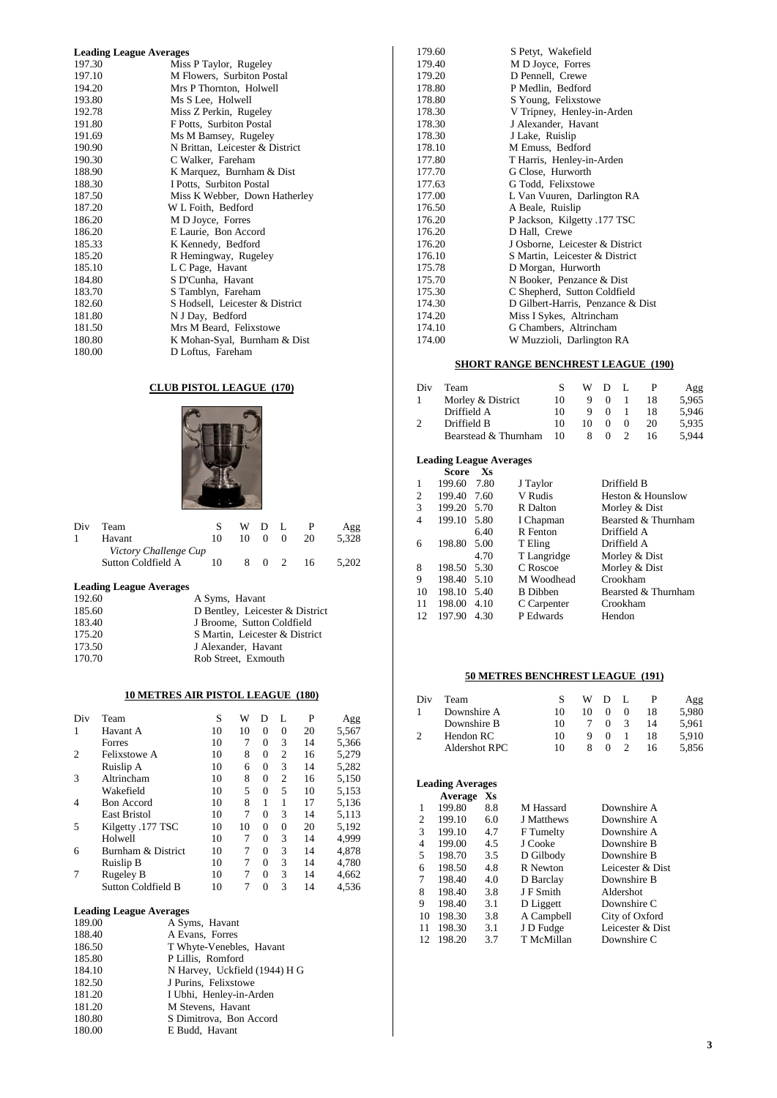| <b>Leading League Averages</b> |                                 |  |  |  |  |
|--------------------------------|---------------------------------|--|--|--|--|
| 197.30                         | Miss P Taylor, Rugeley          |  |  |  |  |
| 197.10                         | M Flowers, Surbiton Postal      |  |  |  |  |
| 194.20                         | Mrs P Thornton, Holwell         |  |  |  |  |
| 193.80                         | Ms S Lee, Holwell               |  |  |  |  |
| 192.78                         | Miss Z Perkin, Rugeley          |  |  |  |  |
| 191.80                         | F Potts, Surbiton Postal        |  |  |  |  |
| 191.69                         | Ms M Bamsey, Rugeley            |  |  |  |  |
| 190.90                         | N Brittan, Leicester & District |  |  |  |  |
| 190.30                         | C Walker, Fareham               |  |  |  |  |
| 188.90                         | K Marquez, Burnham & Dist       |  |  |  |  |
| 188.30                         | I Potts, Surbiton Postal        |  |  |  |  |
| 187.50                         | Miss K Webber, Down Hatherley   |  |  |  |  |
| 187.20                         | W L Foith, Bedford              |  |  |  |  |
| 186.20                         | M D Joyce, Forres               |  |  |  |  |
| 186.20                         | E Laurie, Bon Accord            |  |  |  |  |
| 185.33                         | K Kennedy, Bedford              |  |  |  |  |
| 185.20                         | R Hemingway, Rugeley            |  |  |  |  |
| 185.10                         | L C Page, Havant                |  |  |  |  |
| 184.80                         | S D'Cunha, Havant               |  |  |  |  |
| 183.70                         | S Tamblyn, Fareham              |  |  |  |  |
| 182.60                         | S Hodsell, Leicester & District |  |  |  |  |
| 181.80                         | N J Day, Bedford                |  |  |  |  |
| 181.50                         | Mrs M Beard, Felixstowe         |  |  |  |  |
| 180.80                         | K Mohan-Syal, Burnham & Dist    |  |  |  |  |
| 180.00                         | D Loftus, Fareham               |  |  |  |  |

### **CLUB PISTOL LEAGUE (170)**



| Div | Team                  |    | WDL |          |    | Agg   |
|-----|-----------------------|----|-----|----------|----|-------|
|     | Havant                | 10 |     | 10 0     | 20 | 5.328 |
|     | Victory Challenge Cup |    |     |          |    |       |
|     | Sutton Coldfield A    | 10 | 8.  | $\Omega$ | 16 | 5.202 |

## **Leading League Averages**

| 192.60 | A Syms, Havant                  |
|--------|---------------------------------|
| 185.60 | D Bentley, Leicester & District |
| 183.40 | J Broome. Sutton Coldfield      |
| 175.20 | S Martin, Leicester & District  |
| 173.50 | J Alexander, Havant             |
| 170.70 | Rob Street, Exmouth             |

### **10 METRES AIR PISTOL LEAGUE (180)**

| Div | Team                | S  | W  | Ð        | L              | P  | Agg   |
|-----|---------------------|----|----|----------|----------------|----|-------|
| 1   | Havant A            | 10 | 10 | $\Omega$ | 0              | 20 | 5,567 |
|     | Forres              | 10 | 7  | $\Omega$ | 3              | 14 | 5,366 |
| 2   | <b>Felixstowe A</b> | 10 | 8  | $\Omega$ | 2              | 16 | 5,279 |
|     | Ruislip A           | 10 | 6  | $\Omega$ | 3              | 14 | 5,282 |
| 3   | Altrincham          | 10 | 8  | $\Omega$ | $\overline{c}$ | 16 | 5,150 |
|     | Wakefield           | 10 | 5  | $\Omega$ | 5              | 10 | 5,153 |
| 4   | <b>Bon Accord</b>   | 10 | 8  |          | 1              | 17 | 5,136 |
|     | <b>East Bristol</b> | 10 | 7  | $\Omega$ | 3              | 14 | 5,113 |
| 5   | Kilgetty .177 TSC   | 10 | 10 | $\Omega$ | $\theta$       | 20 | 5,192 |
|     | Holwell             | 10 | 7  | $\Omega$ | 3              | 14 | 4,999 |
| 6   | Burnham & District  | 10 | 7  | $\Omega$ | 3              | 14 | 4.878 |
|     | Ruislip B           | 10 | 7  | $\Omega$ | 3              | 14 | 4,780 |
| 7   | Rugeley B           | 10 | 7  | $\Omega$ | 3              | 14 | 4,662 |
|     | Sutton Coldfield B  | 10 |    | $\theta$ | 3              | 14 | 4,536 |

#### **Leading League Averages**

| 189.00 | A Syms, Havant                |
|--------|-------------------------------|
| 188.40 | A Evans, Forres               |
| 186.50 | T Whyte-Venebles, Havant      |
| 185.80 | P Lillis, Romford             |
| 184.10 | N Harvey, Uckfield (1944) H G |
| 182.50 | J Purins, Felixstowe          |
| 181.20 | I Ubhi, Henley-in-Arden       |
| 181.20 | M Stevens, Havant             |
| 180.80 | S Dimitrova, Bon Accord       |
| 180.00 | E Budd, Havant                |

| 179.60 | S Petyt, Wakefield                |
|--------|-----------------------------------|
| 179.40 | M D Joyce, Forres                 |
| 179.20 | D Pennell, Crewe                  |
| 178.80 | P Medlin, Bedford                 |
| 178.80 | S Young, Felixstowe               |
| 178.30 | V Tripney, Henley-in-Arden        |
| 178.30 | J Alexander, Havant               |
| 178.30 | J Lake, Ruislip                   |
| 178.10 | M Emuss, Bedford                  |
| 177.80 | T Harris, Henley-in-Arden         |
| 177.70 | G Close, Hurworth                 |
| 177.63 | G Todd, Felixstowe                |
| 177.00 | L Van Vuuren, Darlington RA       |
| 176.50 | A Beale, Ruislip                  |
| 176.20 | P Jackson, Kilgetty .177 TSC      |
| 176.20 | D Hall, Crewe                     |
| 176.20 | J Osborne, Leicester & District   |
| 176.10 | S Martin, Leicester & District    |
| 175.78 | D Morgan, Hurworth                |
| 175.70 | N Booker, Penzance & Dist         |
| 175.30 | C Shepherd, Sutton Coldfield      |
| 174.30 | D Gilbert-Harris, Penzance & Dist |
| 174.20 | Miss I Sykes, Altrincham          |
| 174.10 | G Chambers, Altrincham            |
| 174.00 | W Muzzioli, Darlington RA         |

## **SHORT RANGE BENCHREST LEAGUE (190)**

| Div | Team                 |    |    | WDL      |          |    | Agg   |
|-----|----------------------|----|----|----------|----------|----|-------|
|     | Morley & District    | 10 | 9  | $\theta$ |          | 18 | 5.965 |
|     | Driffield A          | 10 |    | $\Omega$ |          | 18 | 5.946 |
|     | Driffield B          | 10 | 10 |          | $\Omega$ | 20 | 5.935 |
|     | Bearstead & Thurnham | 10 |    |          |          | 16 | 5.944 |

#### **Leading League Averages**

|    | Score       | Xs   |                 |                     |
|----|-------------|------|-----------------|---------------------|
| 1  | 199.60      | 7.80 | J Taylor        | Driffield B         |
| 2  | 199.40      | 7.60 | V Rudis         | Heston & Hounslow   |
| 3  | 199.20 5.70 |      | R Dalton        | Morley & Dist       |
| 4  | 199.10 5.80 |      | I Chapman       | Bearsted & Thurnham |
|    |             | 6.40 | R Fenton        | Driffield A         |
| 6  | 198.80      | 5.00 | T Eling         | Driffield A         |
|    |             | 4.70 | T Langridge     | Morley & Dist       |
| 8  | 198.50      | 5.30 | C Roscoe        | Morley & Dist       |
| 9  | 198.40      | 5.10 | M Woodhead      | Crookham            |
| 10 | 198.10 5.40 |      | <b>B</b> Dibben | Bearsted & Thurnham |
| 11 | 198.00      | 4.10 | C Carpenter     | Crookham            |
| 12 | 197.90      | 4.30 | P Edwards       | Hendon              |

## **50 METRES BENCHREST LEAGUE (191)**

| Div | Team          |    | w  | Ð |    | Agg   |
|-----|---------------|----|----|---|----|-------|
|     | Downshire A   | 10 | 10 |   | 18 | 5.980 |
|     | Downshire B   | 10 |    |   | 14 | 5.961 |
|     | Hendon RC     | 10 |    |   | 18 | 5.910 |
|     | Aldershot RPC | 10 |    |   | 16 | 5.856 |

#### **Leading Averages Average Xs**

| 1  | 199.80 | 8.8 | M Hassard  | Downshire A      |
|----|--------|-----|------------|------------------|
| 2  | 199.10 | 6.0 | J Matthews | Downshire A      |
| 3  | 199.10 | 4.7 | F Tumelty  | Downshire A      |
| 4  | 199.00 | 4.5 | J Cooke    | Downshire B      |
| 5  | 198.70 | 3.5 | D Gilbody  | Downshire B      |
| 6  | 198.50 | 4.8 | R Newton   | Leicester & Dist |
| 7  | 198.40 | 4.0 | D Barclay  | Downshire B      |
| 8  | 198.40 | 3.8 | J F Smith  | Aldershot        |
| 9  | 198.40 | 3.1 | D Liggett  | Downshire C      |
| 10 | 198.30 | 3.8 | A Campbell | City of Oxford   |
| 11 | 198.30 | 3.1 | J D Fudge  | Leicester & Dist |
| 12 | 198.20 | 3.7 | T McMillan | Downshire C      |
|    |        |     |            |                  |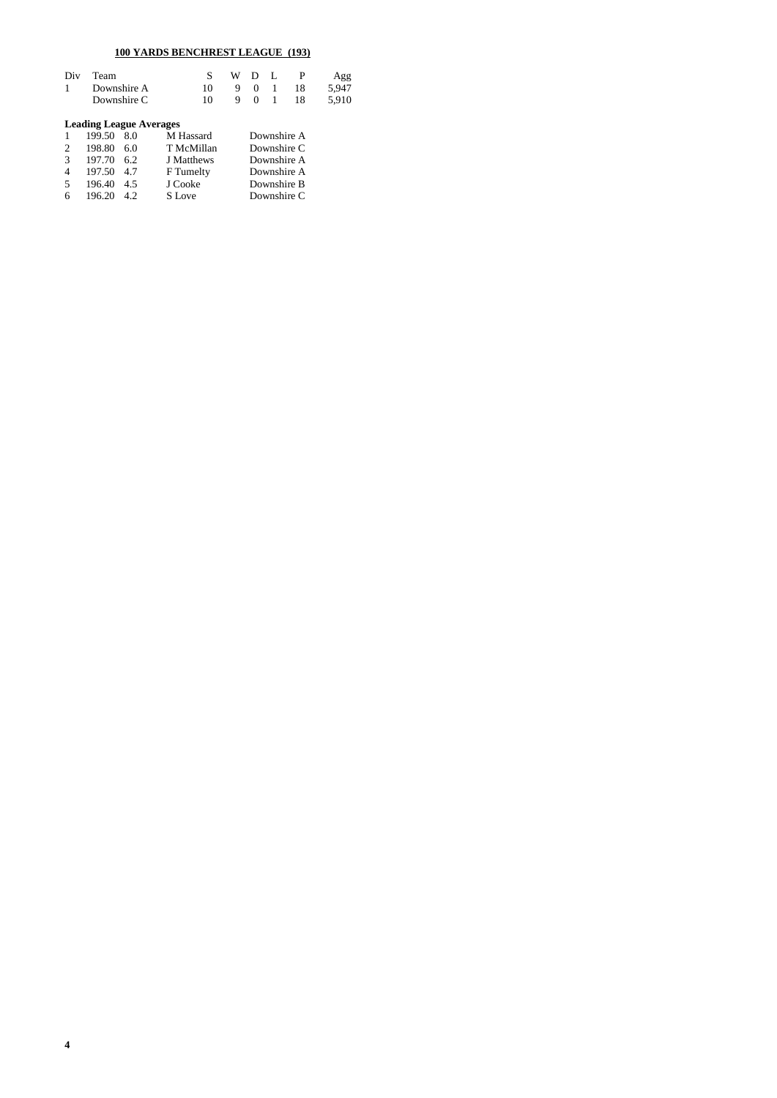## **100 YARDS BENCHREST LEAGUE (193)**

| Div<br>1 | Team   | Downshire A<br>Downshire C     | S<br>10<br>10 | W<br>9<br>9 | Ð<br>$\Omega$<br>$\Omega$ |             | P<br>18<br>18 | Agg<br>5.947<br>5.910 |
|----------|--------|--------------------------------|---------------|-------------|---------------------------|-------------|---------------|-----------------------|
|          |        | <b>Leading League Averages</b> |               |             |                           |             |               |                       |
|          | 199.50 | 8.0                            | M Hassard     |             |                           | Downshire A |               |                       |
| 2        | 198.80 | 6.0                            | T McMillan    |             | Downshire C               |             |               |                       |
| 3        | 197.70 | 6.2                            | J Matthews    |             | Downshire A               |             |               |                       |
| 4        | 197.50 | 4.7                            | F Tumelty     |             | Downshire A               |             |               |                       |
| 5        | 196.40 | 4.5                            | J Cooke       |             | Downshire B               |             |               |                       |
| 6        | 196.20 | 4.2.                           | S Love        |             |                           | Downshire C |               |                       |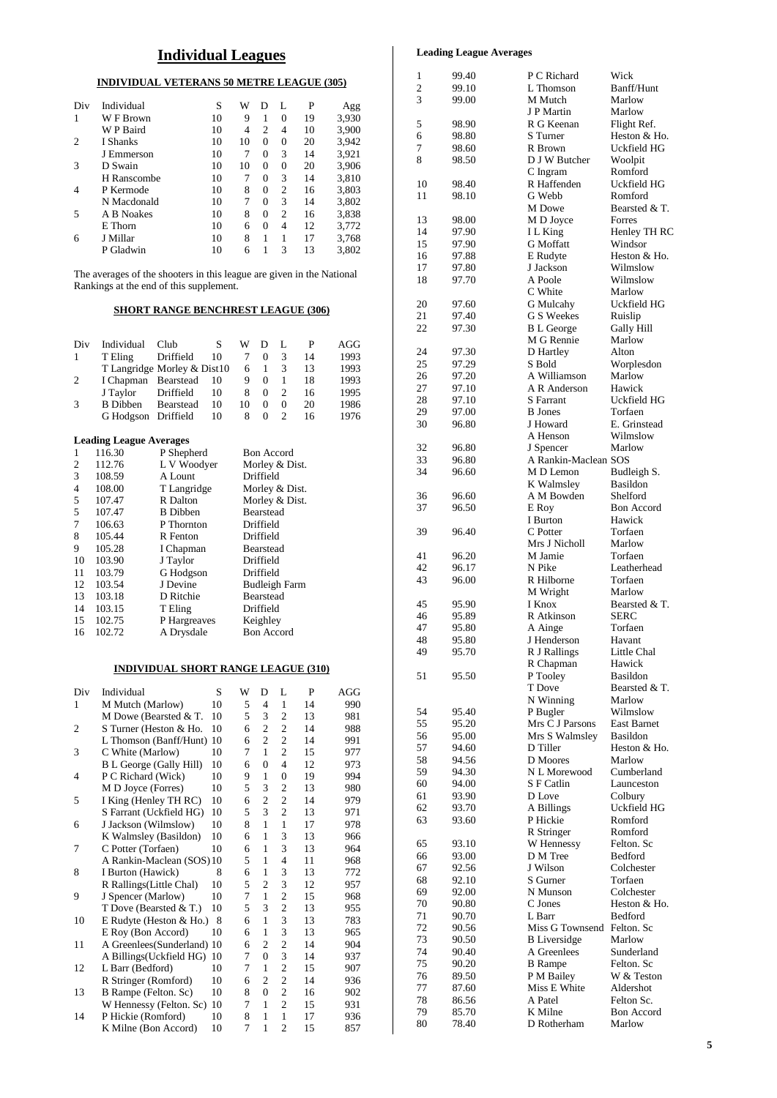## **Individual Leagues**

## **INDIVIDUAL VETERANS 50 METRE LEAGUE (305)**

| Div            | Individual  | S  | W  | D        | L              | P  | Agg   |
|----------------|-------------|----|----|----------|----------------|----|-------|
| 1              | W F Brown   | 10 | 9  | 1        | $\Omega$       | 19 | 3,930 |
|                | W P Baird   | 10 | 4  | 2        | 4              | 10 | 3,900 |
| $\overline{c}$ | I Shanks    | 10 | 10 | $\Omega$ | $\Omega$       | 20 | 3,942 |
|                | J Emmerson  | 10 | 7  | $\Omega$ | 3              | 14 | 3,921 |
| 3              | D Swain     | 10 | 10 | $\Omega$ | $\Omega$       | 20 | 3,906 |
|                | H Ranscombe | 10 | 7  | $\Omega$ | 3              | 14 | 3,810 |
| 4              | P Kermode   | 10 | 8  | $\Omega$ | $\overline{c}$ | 16 | 3,803 |
|                | N Macdonald | 10 | 7  | $\Omega$ | 3              | 14 | 3,802 |
| 5              | A B Noakes  | 10 | 8  | $\Omega$ | 2              | 16 | 3,838 |
|                | E Thorn     | 10 | 6  | $\Omega$ | 4              | 12 | 3,772 |
| 6              | J Millar    | 10 | 8  |          |                | 17 | 3,768 |
|                | P Gladwin   | 10 | 6  |          | 3              | 13 | 3,802 |
|                |             |    |    |          |                |    |       |

The averages of the shooters in this league are given in the National Rankings at the end of this supplement.

### **SHORT RANGE BENCHREST LEAGUE (306)**

| Div            | Individual                     | Club                        | S  | W              | D              | L                 | P  | AGG  |
|----------------|--------------------------------|-----------------------------|----|----------------|----------------|-------------------|----|------|
| 1              | T Eling                        | Driffield                   | 10 | 7              | $\Omega$       | 3                 | 14 | 1993 |
|                |                                | T Langridge Morley & Dist10 |    | 6              | 1              | 3                 | 13 | 1993 |
| 2              | I Chapman                      | Bearstead                   | 10 | 9              | 0              | 1                 | 18 | 1993 |
|                | J Taylor                       | Driffield                   | 10 | 8              | $\theta$       | 2                 | 16 | 1995 |
| 3              | <b>B</b> Dibben                | Bearstead                   | 10 | 10             | $\theta$       | $\Omega$          | 20 | 1986 |
|                | G Hodgson Driffield            |                             | 10 | 8              | $\Omega$       | $\overline{c}$    | 16 | 1976 |
|                | <b>Leading League Averages</b> |                             |    |                |                |                   |    |      |
|                | 116.30                         | P Shepherd                  |    |                |                | <b>Bon Accord</b> |    |      |
| 2              | 112.76                         | L V Woodyer                 |    |                | Morley & Dist. |                   |    |      |
| 3              | 108.59                         | A Lount                     |    |                | Driffield      |                   |    |      |
| $\overline{4}$ | 108.00                         | T Langridge                 |    | Morley & Dist. |                |                   |    |      |
| 5              | 107.47                         | R Dalton                    |    |                |                | Morley & Dist.    |    |      |
| 5              | 107.47                         | R Dibban                    |    |                | Regreteed      |                   |    |      |

| $\overline{4}$ | 108.00 | T Langridge     | Morley & Dist.       |
|----------------|--------|-----------------|----------------------|
| 5              | 107.47 | R Dalton        | Morley & Dist.       |
| .5             | 107.47 | <b>B</b> Dibben | <b>Bearstead</b>     |
| 7              | 106.63 | P Thornton      | Driffield            |
| 8              | 105.44 | R Fenton        | Driffield            |
| 9              | 105.28 | I Chapman       | Bearstead            |
| 10             | 103.90 | J Taylor        | Driffield            |
| 11             | 103.79 | G Hodgson       | Driffield            |
| 12             | 103.54 | J Devine        | <b>Budleigh Farm</b> |
| 13             | 103.18 | D Ritchie       | <b>Bearstead</b>     |
| 14             | 103.15 | T Eling         | Driffield            |
| 15             | 102.75 | P Hargreaves    | Keighley             |
| 16             | 102.72 | A Drysdale      | <b>Bon Accord</b>    |
|                |        |                 |                      |

#### **INDIVIDUAL SHORT RANGE LEAGUE (310)**

| Div | Individual                     | S  | W | D                | L                       | P  | AGG |
|-----|--------------------------------|----|---|------------------|-------------------------|----|-----|
| 1   | M Mutch (Marlow)               | 10 | 5 | 4                | $\mathbf{1}$            | 14 | 990 |
|     | M Dowe (Bearsted & T.          | 10 | 5 | 3                | $\overline{\mathbf{c}}$ | 13 | 981 |
| 2   | S Turner (Heston & Ho.         | 10 | 6 | $\overline{c}$   | $\overline{c}$          | 14 | 988 |
|     | L Thomson (Banff/Hunt)         | 10 | 6 | $\overline{c}$   | $\mathfrak{2}$          | 14 | 991 |
| 3   | C White (Marlow)               | 10 | 7 | $\mathbf{1}$     | $\overline{c}$          | 15 | 977 |
|     | <b>B</b> L George (Gally Hill) | 10 | 6 | $\theta$         | $\overline{4}$          | 12 | 973 |
| 4   | P C Richard (Wick)             | 10 | 9 | 1                | $\overline{0}$          | 19 | 994 |
|     | M D Joyce (Forres)             | 10 | 5 | 3                | $\overline{\mathbf{c}}$ | 13 | 980 |
| 5   | I King (Henley TH RC)          | 10 | 6 | $\overline{c}$   | $\overline{c}$          | 14 | 979 |
|     | S Farrant (Uckfield HG)        | 10 | 5 | 3                | $\overline{c}$          | 13 | 971 |
| 6   | J Jackson (Wilmslow)           | 10 | 8 | 1                | $\mathbf{1}$            | 17 | 978 |
|     | K Walmsley (Basildon)          | 10 | 6 | $\mathbf{1}$     | 3                       | 13 | 966 |
| 7   | C Potter (Torfaen)             | 10 | 6 | $\mathbf{1}$     | 3                       | 13 | 964 |
|     | A Rankin-Maclean (SOS)10       |    | 5 | 1                | 4                       | 11 | 968 |
| 8   | I Burton (Hawick)              | 8  | 6 | 1                | 3                       | 13 | 772 |
|     | R Rallings(Little Chal)        | 10 | 5 | $\overline{2}$   | 3                       | 12 | 957 |
| 9   | J Spencer (Marlow)             | 10 | 7 | 1                | $\overline{c}$          | 15 | 968 |
|     | T Dove (Bearsted & T.)         | 10 | 5 | 3                | $\overline{c}$          | 13 | 955 |
| 10  | E Rudyte (Heston & Ho.)        | 8  | 6 | $\mathbf{1}$     | 3                       | 13 | 783 |
|     | E Roy (Bon Accord)             | 10 | 6 | 1                | 3                       | 13 | 965 |
| 11  | A Greenlees(Sunderland) 10     |    | 6 | $\mathfrak{2}$   | $\overline{c}$          | 14 | 904 |
|     | A Billings(Uckfield HG)        | 10 | 7 | $\boldsymbol{0}$ | 3                       | 14 | 937 |
| 12  | L Barr (Bedford)               | 10 | 7 | 1                | $\mathbf{c}$            | 15 | 907 |
|     | R Stringer (Romford)           | 10 | 6 | $\overline{2}$   | $\overline{c}$          | 14 | 936 |
| 13  | B Rampe (Felton. Sc)           | 10 | 8 | $\overline{0}$   | $\overline{c}$          | 16 | 902 |
|     | W Hennessy (Felton. Sc)        | 10 | 7 | 1                | $\overline{c}$          | 15 | 931 |
| 14  | P Hickie (Romford)             | 10 | 8 | $\mathbf{1}$     | $\mathbf{1}$            | 17 | 936 |
|     | K Milne (Bon Accord)           | 10 | 7 | 1                | $\overline{c}$          | 15 | 857 |

### **Leading League Averages**

| 1        | 99.40          | P C Richard                            | Wick                    |
|----------|----------------|----------------------------------------|-------------------------|
| 2        | 99.10          | L Thomson                              | Banff/Hunt              |
| 3        | 99.00          | M Mutch<br>J P Martin                  | Marlow                  |
| 5        | 98.90          | R G Keenan                             | Marlow<br>Flight Ref.   |
| 6        | 98.80          | S Turner                               | Heston & Ho.            |
| 7        | 98.60          | R Brown                                | Uckfield HG             |
| 8        | 98.50          | D J W Butcher                          | Woolpit                 |
|          |                | C Ingram                               | Romford                 |
| 10       | 98.40          | R Haffenden                            | Uckfield HG             |
| 11       | 98.10          | G Webb                                 | Romford                 |
|          |                | M Dowe                                 | Bearsted & T.           |
| 13       | 98.00          | M D Joyce                              | Forres                  |
| 14       | 97.90          | IL King                                | Henley TH RC            |
| 15<br>16 | 97.90<br>97.88 | <b>G</b> Moffatt<br>E Rudyte           | Windsor<br>Heston & Ho. |
| 17       | 97.80          | J Jackson                              | Wilmslow                |
| 18       | 97.70          | A Poole                                | Wilmslow                |
|          |                | C White                                | Marlow                  |
| 20       | 97.60          | G Mulcahy                              | Uckfield HG             |
| 21       | 97.40          | G S Weekes                             | Ruislip                 |
| 22       | 97.30          | <b>B</b> L George                      | Gally Hill              |
|          |                | M G Rennie                             | Marlow                  |
| 24       | 97.30          | D Hartley                              | Alton                   |
| 25       | 97.29          | S Bold                                 | Worplesdon              |
| 26<br>27 | 97.20<br>97.10 | A Williamson<br>A R Anderson           | Marlow<br>Hawick        |
| 28       | 97.10          | S Farrant                              | Uckfield HG             |
| 29       | 97.00          | <b>B</b> Jones                         | Torfaen                 |
| 30       | 96.80          | J Howard                               | E. Grinstead            |
|          |                | A Henson                               | Wilmslow                |
| 32       | 96.80          | J Spencer                              | Marlow                  |
| 33       | 96.80          | A Rankin-Maclean SOS                   |                         |
| 34       | 96.60          | M D Lemon                              | Budleigh S.             |
|          |                | K Walmsley                             | Basildon                |
| 36       | 96.60          | A M Bowden                             | Shelford                |
| 37       | 96.50          | E Roy                                  | <b>Bon Accord</b>       |
|          |                | I Burton<br>C Potter                   | Hawick<br>Torfaen       |
| 39       | 96.40          | Mrs J Nicholl                          | Marlow                  |
| 41       | 96.20          | M Jamie                                | Torfaen                 |
| 42       | 96.17          | N Pike                                 | Leatherhead             |
| 43       | 96.00          | R Hilborne                             | Torfaen                 |
|          |                | M Wright                               | Marlow                  |
| 45       | 95.90          | I Knox                                 | Bearsted & T.           |
| 46       | 95.89          | R Atkinson                             | <b>SERC</b>             |
| 47       | 95.80          | A Ainge                                | Torfaen                 |
| 48<br>49 | 95.80<br>95.70 | J Henderson<br>R J Rallings            | Havant<br>Little Chal   |
|          |                | R Chapman                              | Hawick                  |
| 51       | 95.50          | P Tooley                               | Basildon                |
|          |                | T Dove                                 | Bearsted & T.           |
|          |                | N Winning                              | Marlow                  |
| 54       | 95.40          | P Bugler                               | Wilmslow                |
| 55       | 95.20          | Mrs C J Parsons                        | <b>East Barnet</b>      |
| 56       | 95.00          | Mrs S Walmsley                         | Basildon                |
| 57       | 94.60          | D Tiller                               | Heston & Ho.            |
| 58       | 94.56          | D Moores                               | Marlow                  |
| 59       | 94.30          | N L Morewood                           | Cumberland              |
| 60<br>61 | 94.00<br>93.90 | S F Catlin<br>D Love                   | Launceston<br>Colbury   |
| 62       | 93.70          | A Billings                             | Uckfield HG             |
| 63       | 93.60          | P Hickie                               | Romford                 |
|          |                | R Stringer                             | Romford                 |
| 65       | 93.10          | W Hennessy                             | Felton. Sc              |
| 66       | 93.00          | D M Tree                               | Bedford                 |
| 67       | 92.56          | J Wilson                               | Colchester              |
| 68       | 92.10          | S Gurner                               | Torfaen                 |
| 69       | 92.00          | N Munson                               | Colchester              |
| 70       | 90.80          | C Jones                                | Heston & Ho.            |
| 71       | 90.70          | L Barr                                 | Bedford                 |
| 72<br>73 | 90.56<br>90.50 | Miss G Townsend<br><b>B</b> Liversidge | Felton. Sc<br>Marlow    |
| 74       | 90.40          | A Greenlees                            | Sunderland              |
| 75       | 90.20          | <b>B</b> Rampe                         | Felton. Sc              |
| 76       | 89.50          | P M Bailey                             | W & Teston              |
| 77       | 87.60          | Miss E White                           | Aldershot               |
| 78       | 86.56          | A Patel                                | Felton Sc.              |
| 79       | 85.70          | K Milne                                | <b>Bon Accord</b>       |
| 80       | 78.40          | D Rotherham                            | Marlow                  |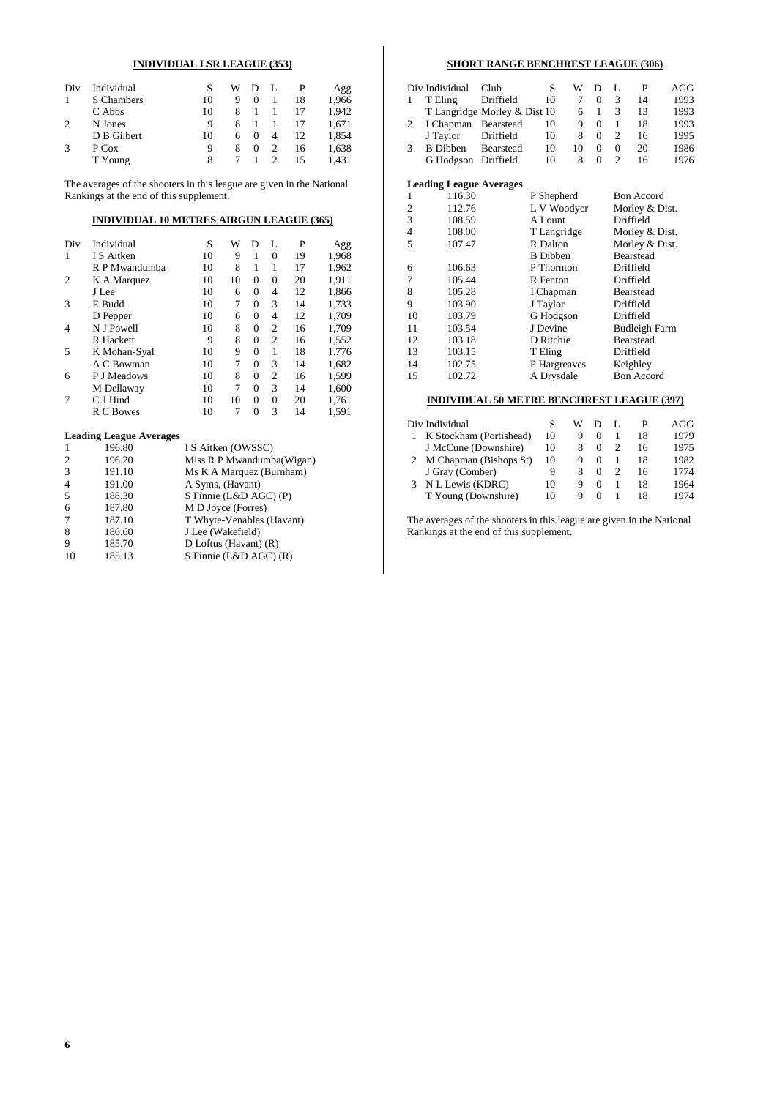### **INDIVIDUAL LSR LEAGUE (353)**

| Div            | Individual  |    | W |        | L |    | Agg   |
|----------------|-------------|----|---|--------|---|----|-------|
| 1              | S Chambers  | 10 | 9 |        |   | 18 | 1,966 |
|                | C Abbs      | 10 | 8 |        |   | 17 | 1.942 |
| $\overline{c}$ | N Jones     | 9  | 8 |        |   |    | 1,671 |
|                | D B Gilbert | 10 | 6 | $_{0}$ | 4 | 12 | 1,854 |
| 3              | P Cox       | 9  | 8 | 0      |   | 16 | 1,638 |
|                | T Young     | 8  |   |        |   | 15 | 1.431 |

The averages of the shooters in this league are given in the National Rankings at the end of this supplement.

### **INDIVIDUAL 10 METRES AIRGUN LEAGUE (365)**

| Div | Individual                     | S                         | W  | D              | L              | P  | Agg   |  |
|-----|--------------------------------|---------------------------|----|----------------|----------------|----|-------|--|
| 1   | I S Aitken                     | 10                        | 9  | 1              | $\Omega$       | 19 | 1,968 |  |
|     | R P Mwandumba                  | 10                        | 8  | 1              | 1              | 17 | 1,962 |  |
| 2   | K A Marquez                    | 10                        | 10 | 0              | 0              | 20 | 1,911 |  |
|     | J Lee                          | 10                        | 6  | 0              | 4              | 12 | 1,866 |  |
| 3   | E Budd                         | 10                        | 7  | $\theta$       | 3              | 14 | 1,733 |  |
|     | D Pepper                       | 10                        | 6  | 0              | 4              | 12 | 1,709 |  |
| 4   | N J Powell                     | 10                        | 8  | $\theta$       | $\overline{c}$ | 16 | 1,709 |  |
|     | R Hackett                      | 9                         | 8  | $\theta$       | $\overline{c}$ | 16 | 1,552 |  |
| 5   | K Mohan-Syal                   | 10                        | 9  | $\theta$       | 1              | 18 | 1,776 |  |
|     | A C Bowman                     | 10                        | 7  | 0              | 3              | 14 | 1,682 |  |
| 6   | P J Meadows                    | 10                        | 8  | $\overline{0}$ | 2              | 16 | 1,599 |  |
|     | M Dellaway                     | 10                        | 7  | 0              | 3              | 14 | 1,600 |  |
| 7   | C J Hind                       | 10                        | 10 | 0              | $\mathbf{0}$   | 20 | 1,761 |  |
|     | R C Bowes                      | 10                        | 7  | $\theta$       | 3              | 14 | 1,591 |  |
|     | <b>Leading League Averages</b> |                           |    |                |                |    |       |  |
| 1   | 196.80                         | I S Aitken (OWSSC)        |    |                |                |    |       |  |
| 2   | 196.20                         | Miss R P Mwandumba(Wigan) |    |                |                |    |       |  |
| 3   | 191.10                         | Ms K A Marquez (Burnham)  |    |                |                |    |       |  |

| 4  | 191.00 | A Syms, (Havant)          |
|----|--------|---------------------------|
| 5  | 188.30 | S Finnie (L&D AGC) (P)    |
| 6  | 187.80 | M D Joyce (Forres)        |
| 7  | 187.10 | T Whyte-Venables (Havant) |
| 8  | 186.60 | J Lee (Wakefield)         |
| 9  | 185.70 | D Loftus (Havant) $(R)$   |
| 10 | 185.13 | S Finnie (L&D AGC) (R)    |
|    |        |                           |

### **SHORT RANGE BENCHREST LEAGUE (306)**

| $Cl$ ub                   | S                                                                                                   |                              |                             |                                |                  | AGG                              |
|---------------------------|-----------------------------------------------------------------------------------------------------|------------------------------|-----------------------------|--------------------------------|------------------|----------------------------------|
|                           | 10                                                                                                  |                              |                             |                                |                  | 1993                             |
|                           |                                                                                                     |                              |                             |                                |                  | 1993                             |
|                           | 10                                                                                                  |                              |                             |                                |                  | 1993                             |
|                           | 10                                                                                                  |                              |                             |                                |                  | 1995                             |
|                           | 10                                                                                                  |                              |                             |                                |                  | 1986                             |
|                           | 10                                                                                                  |                              |                             |                                |                  | 1976                             |
| Div Individual<br>T Eling | Driffield<br>I Chapman Bearstead<br>J Taylor Driffield<br>B Dibben Bearstead<br>G Hodgson Driffield | T Langridge Morley & Dist 10 | w<br>6<br>9<br>8<br>10<br>8 | 0<br>$^{(1)}$<br>$^{(1)}$<br>0 | L<br>3<br>3<br>0 | 14<br>13<br>18<br>16<br>20<br>16 |

#### **Leading League Averages**

|    | 116.30 | P Shepherd      | <b>Bon Accord</b>    |
|----|--------|-----------------|----------------------|
| 2  | 112.76 | L V Woodyer     | Morley & Dist.       |
| 3  | 108.59 | A Lount         | Driffield            |
| 4  | 108.00 | T Langridge     | Morley & Dist.       |
| 5  | 107.47 | R Dalton        | Morley & Dist.       |
|    |        | <b>B</b> Dibben | <b>Bearstead</b>     |
| 6  | 106.63 | P Thornton      | Driffield            |
| 7  | 105.44 | R Fenton        | Driffield            |
| 8  | 105.28 | I Chapman       | <b>Bearstead</b>     |
| 9  | 103.90 | J Taylor        | Driffield            |
| 10 | 103.79 | G Hodgson       | Driffield            |
| 11 | 103.54 | J Devine        | <b>Budleigh Farm</b> |
| 12 | 103.18 | D Ritchie       | Bearstead            |
| 13 | 103.15 | T Eling         | Driffield            |
| 14 | 102.75 | P Hargreaves    | Keighley             |
| 15 | 102.72 | A Drysdale      | <b>Bon Accord</b>    |
|    |        |                 |                      |

### **INDIVIDUAL 50 METRE BENCHREST LEAGUE (397)**

| Div Individual           |    | W | Ð        | L |    | AGG  |
|--------------------------|----|---|----------|---|----|------|
| K Stockham (Portishead)  | 10 | 9 |          |   | 18 | 1979 |
| J McCune (Downshire)     | 10 | 8 |          |   | 16 | 1975 |
| 2 M Chapman (Bishops St) | 10 | 9 |          |   | 18 | 1982 |
| J Gray (Comber)          | 9  | 8 | $\theta$ |   | 16 | 1774 |
| N L Lewis (KDRC)         | 10 | 9 |          |   | 18 | 1964 |
| T Young (Downshire)      | 10 | Q |          |   | 18 | 1974 |

The averages of the shooters in this league are given in the National Rankings at the end of this supplement.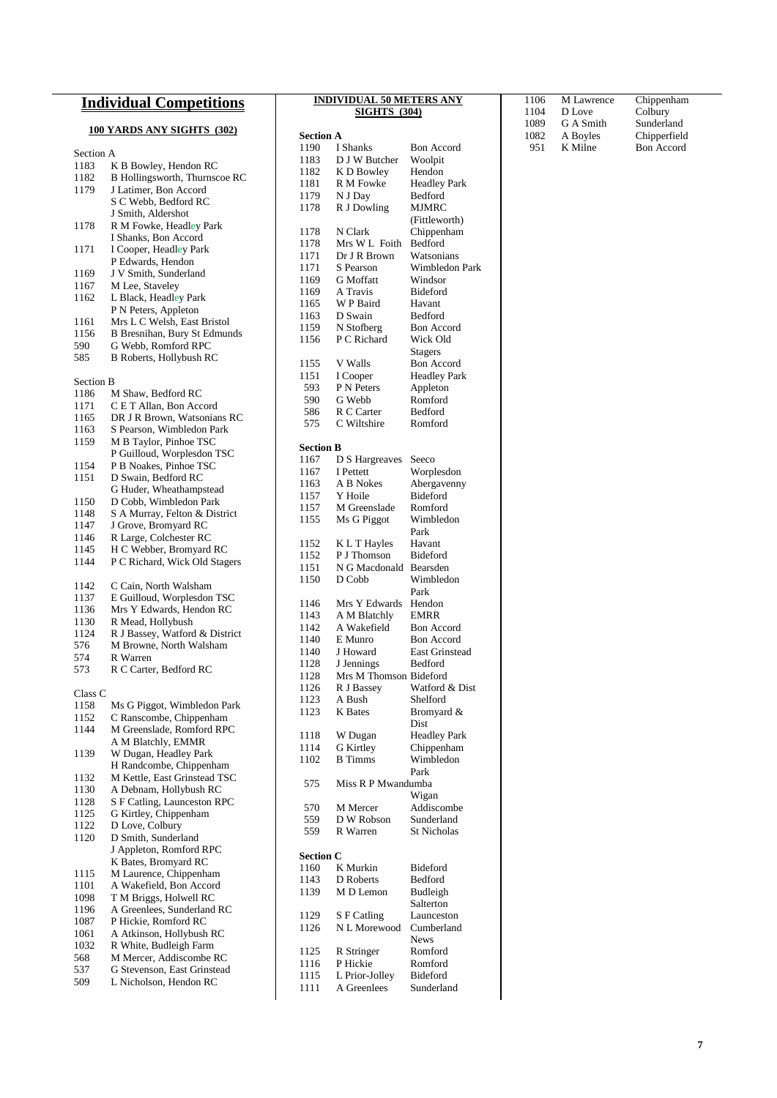## **Individual Competitions**

## **100 YARDS ANY SIGHTS (302)**

| Section A        |                                      |
|------------------|--------------------------------------|
| 1183             | K B Bowley, Hendon RC                |
| 1182             | <b>B Hollingsworth, Thurnscoe RC</b> |
| 1179             | J Latimer, Bon Accord                |
|                  | S C Webb, Bedford RC                 |
|                  | J Smith, Aldershot                   |
| 1178             | R M Fowke, Headley Park              |
|                  |                                      |
|                  | I Shanks, Bon Accord                 |
| 1171             | I Cooper, Headley Park               |
|                  | P Edwards, Hendon                    |
| 1169             | J V Smith, Sunderland                |
| 1167             | M Lee, Staveley                      |
| 1162             | L Black, Headley Park                |
|                  | P N Peters, Appleton                 |
|                  | Mrs L C Welsh, East Bristol          |
| 1161             |                                      |
| 1156             | B Bresnihan, Bury St Edmunds         |
| 590              | G Webb, Romford RPC                  |
| 585              | <b>B Roberts, Hollybush RC</b>       |
|                  |                                      |
| <b>Section B</b> |                                      |
| 1186             | M Shaw, Bedford RC                   |
| 1171             | C E T Allan, Bon Accord              |
| 1165             | DR J R Brown, Watsonians RC          |
| 1163             | S Pearson, Wimbledon Park            |
|                  |                                      |
| 1159             | M B Taylor, Pinhoe TSC               |
|                  | P Guilloud, Worplesdon TSC           |
| 1154             | P B Noakes, Pinhoe TSC               |
| 1151             | D Swain, Bedford RC                  |
|                  | G Huder, Wheathampstead              |
| 1150             | D Cobb, Wimbledon Park               |
| 1148             | S A Murray, Felton & District        |
|                  |                                      |
| 1147             | J Grove, Bromyard RC                 |
| 1146             | R Large, Colchester RC               |
| 1145             | H C Webber, Bromyard RC              |
| 1144             | P C Richard, Wick Old Stagers        |
|                  |                                      |
| 1142             | C Cain, North Walsham                |
| 1137             | E Guilloud, Worplesdon TSC           |
| 1136             | Mrs Y Edwards, Hendon RC             |
| 1130             | R Mead, Hollybush                    |
| 1124             | R J Bassey, Watford & District       |
| 576              | M Browne, North Walsham              |
|                  |                                      |
| 574              | R Warren                             |
| 573              | R C Carter, Bedford RC               |
|                  |                                      |
| Class C          |                                      |
| 1158             | Ms G Piggot, Wimbledon Park          |
| 1152             | C Ranscombe, Chippenham              |
| 1144             | M Greenslade, Romford RPC            |
|                  | A M Blatchly, EMMR                   |
| 1139             | W Dugan, Headley Park                |
|                  | H Randcombe, Chippenham              |
| 1132             | M Kettle, East Grinstead TSC         |
|                  |                                      |
| 1130             | A Debnam, Hollybush RC               |
| 1128             | S F Catling, Launceston RPC          |
| 1125             | G Kirtley, Chippenham                |
| 1122             | D Love, Colbury                      |
| 1120             | D Smith, Sunderland                  |
|                  | J Appleton, Romford RPC              |
|                  | K Bates, Bromyard RC                 |
| 1115             | M Laurence, Chippenham               |
| 1101             | A Wakefield, Bon Accord              |
|                  |                                      |
| 1098             | T M Briggs, Holwell RC               |
| 1196             | A Greenlees, Sunderland RC           |
| 1087             | P Hickie, Romford RC                 |
| 1061             | A Atkinson, Hollybush RC             |
| 1032             | R White, Budleigh Farm               |
| 568              | M Mercer, Addiscombe RC              |
| 537              | G Stevenson, East Grinstead          |
| 509              | L Nicholson, Hendon RC               |
|                  |                                      |

#### **INDIVIDUAL 50 METERS ANY SIGHTS (304)**

### **Section A**

| I Shanks<br>1190<br>Bon Accord<br>D J W Butcher<br>1183<br>Woolpit      |  |
|-------------------------------------------------------------------------|--|
|                                                                         |  |
|                                                                         |  |
| K D Bowley<br>Hendon<br>1182                                            |  |
| 1181<br>R M Fowke<br><b>Headley Park</b>                                |  |
| N J Day<br>1179<br>Bedford                                              |  |
|                                                                         |  |
| R J Dowling<br>MJMRC<br>1178                                            |  |
| (Fittleworth)                                                           |  |
| 1178<br>N Clark<br>Chippenham                                           |  |
| Mrs W L Foith<br>Bedford<br>1178                                        |  |
|                                                                         |  |
| 1171<br>Dr J R Brown<br>Watsonians                                      |  |
| 1171<br>Wimbledon Park<br>S Pearson                                     |  |
| <b>G</b> Moffatt<br>1169<br>Windsor                                     |  |
| A Travis<br>Bideford<br>1169                                            |  |
|                                                                         |  |
| W P Baird<br>1165<br>Havant                                             |  |
| D Swain<br>1163<br>Bedford                                              |  |
| N Stofberg<br>1159<br><b>Bon Accord</b>                                 |  |
| P C Richard<br>1156<br>Wick Old                                         |  |
|                                                                         |  |
| Stagers                                                                 |  |
| V Walls<br>1155<br>Bon Accord                                           |  |
| <b>Headley Park</b><br>1151<br>I Cooper                                 |  |
| P N Peters<br>593<br>Appleton                                           |  |
|                                                                         |  |
| Romford<br>G Webb<br>590                                                |  |
| R C Carter<br>Bedford<br>586                                            |  |
| 575<br>C Wiltshire<br>Romford                                           |  |
|                                                                         |  |
|                                                                         |  |
| <b>Section B</b>                                                        |  |
| 1167<br>D S Hargreaves<br>Seeco                                         |  |
| I Pettett<br>Worplesdon<br>1167                                         |  |
| A B Nokes<br>1163                                                       |  |
| Abergavenny                                                             |  |
| Y Hoile<br>Bideford<br>1157                                             |  |
| M Greenslade<br>1157<br>Romford                                         |  |
| 1155<br>Ms G Piggot<br>Wimbledon                                        |  |
| Park                                                                    |  |
|                                                                         |  |
| 1152<br>K L T Hayles<br>Havant                                          |  |
|                                                                         |  |
| 1152<br>P J Thomson<br>Bideford                                         |  |
|                                                                         |  |
| 1151<br>N G Macdonald<br>Bearsden                                       |  |
| 1150<br>D Cobb<br>Wimbledon                                             |  |
| Park                                                                    |  |
| 1146<br>Mrs Y Edwards<br>Hendon                                         |  |
|                                                                         |  |
| A M Blatchly<br>1143<br>EMRR                                            |  |
| A Wakefield<br>1142<br><b>Bon Accord</b>                                |  |
| E Munro<br><b>Bon Accord</b><br>1140                                    |  |
| <b>East Grinstead</b><br>1140                                           |  |
| J Howard                                                                |  |
| 1128<br>J Jennings<br>Bedford                                           |  |
| Mrs M Thomson Bideford<br>1128                                          |  |
| Watford & Dist<br>1126<br>R J Bassey                                    |  |
| 1123<br>A Bush<br>Shelford                                              |  |
|                                                                         |  |
| 1123<br>K Bates<br>Bromyard &                                           |  |
| Dist                                                                    |  |
| W Dugan<br><b>Headley Park</b><br>1118                                  |  |
| G Kirtley<br>1114                                                       |  |
| Chippenham                                                              |  |
| 1102<br><b>B</b> Timms<br>Wimbledon                                     |  |
| Park                                                                    |  |
| 575<br>Miss R P Mwandumba                                               |  |
|                                                                         |  |
| Wigan                                                                   |  |
| 570<br>M Mercer<br>Addiscombe                                           |  |
| 559<br>D W Robson<br>Sunderland                                         |  |
| 559<br>R Warren<br>St Nicholas                                          |  |
|                                                                         |  |
|                                                                         |  |
| Section C                                                               |  |
| 1160<br>K Murkin<br>Bideford                                            |  |
| 1143<br>D Roberts<br>Bedford                                            |  |
| 1139<br>M D Lemon<br>Budleigh                                           |  |
|                                                                         |  |
| Salterton                                                               |  |
| S F Catling<br>1129<br>Launceston                                       |  |
| N L Morewood<br>1126<br>Cumberland                                      |  |
| News                                                                    |  |
| Romford                                                                 |  |
| 1125<br>R Stringer                                                      |  |
| 1116<br>P Hickie<br>Romford                                             |  |
| 1115<br>Bideford<br>L Prior-Jolley<br>1111<br>A Greenlees<br>Sunderland |  |

#### M Lawrence Chippenham 1104 D Love Colbury G A Smith Sunderland A Boyles Chipperfield K Milne Bon Accord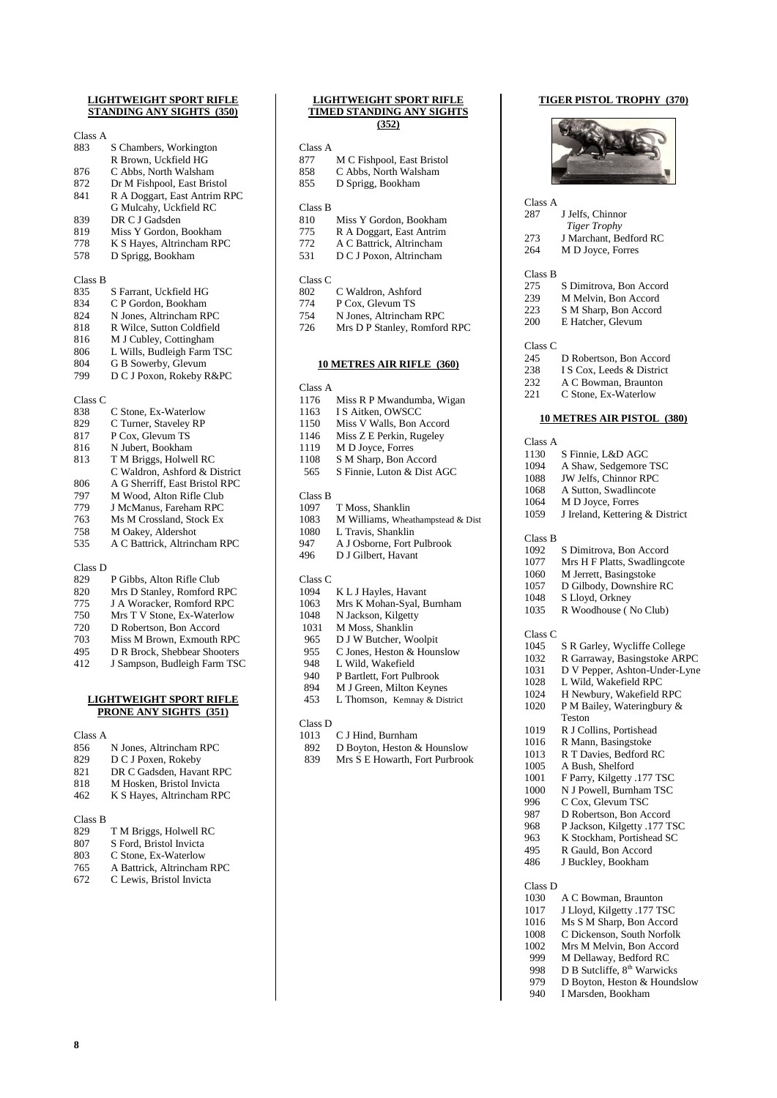#### **LIGHTWEIGHT SPORT RIFLE STANDING ANY SIGHTS (350)**

#### Class A 883 S Chambers, Workington R Brown, Uckfield HG 876 C Abbs, North Walsham<br>872 Dr M Fishpool. East Bris Dr M Fishpool, East Bristol 841 R A Doggart, East Antrim RPC G Mulcahy, Uckfield RC 839 DR C J Gadsden 819 Miss Y Gordon, Bookham 778 K S Hayes, Altrincham RPC<br>578 D Sprigg, Bookham D Sprigg, Bookham Class B 835 S Farrant, Uckfield HG<br>834 C P Gordon, Bookham 834 C P Gordon, Bookham<br>824 N Jones, Altrincham RI N Jones, Altrincham RPC 818 R Wilce, Sutton Coldfield<br>816 M J Cubley, Cottingham 816 M J Cubley, Cottingham<br>806 L Wills, Budleigh Farm 1 806 L Wills, Budleigh Farm TSC<br>804 G B Sowerby, Glevum G B Sowerby, Glevum 799 D C J Poxon, Rokeby R&PC Class C 838 C Stone, Ex-Waterlow 829 C Turner, Staveley RP<br>817 P Cox, Glevum TS P Cox, Glevum TS 816 N Jubert, Bookham 813 T M Briggs, Holwell RC C Waldron, Ashford & District 806 A G Sherriff, East Bristol RPC<br>797 M Wood, Alton Rifle Club M Wood, Alton Rifle Club 779 J McManus, Fareham RPC<br>763 Ms M Crossland, Stock Ex 763 Ms M Crossland, Stock Ex<br>758 M Oakev, Aldershot M Oakey, Aldershot 535 A C Battrick, Altrincham RPC Class D P Gibbs, Alton Rifle Club 820 Mrs D Stanley, Romford RPC 775 J A Woracker, Romford RPC<br>750 Mrs T V Stone, Ex-Waterlow Mrs T V Stone, Ex-Waterlow

- 720 D Robertson, Bon Accord
- 
- 703 Miss M Brown, Exmouth RPC<br>495 D R Brock, Shebbear Shooters
- 495 D R Brock, Shebbear Shooters<br>412 J Sampson, Budleigh Farm TS 412 J Sampson, Budleigh Farm TSC

#### **LIGHTWEIGHT SPORT RIFLE PRONE ANY SIGHTS (351)**

- Class A<br>856 856 N Jones, Altrincham RPC
- 829 D C J Poxen, Rokeby
- 821 DR C Gadsden, Havant RPC<br>818 M Hosken, Bristol Invicta
- 818 M Hosken, Bristol Invicta<br>462 K S Haves, Altrincham RE K S Hayes, Altrincham RPC
- 

Class B

| 829              | T M Briggs, Holwell RC    |
|------------------|---------------------------|
| 0 <sub>0</sub> 7 | C. Earl Drietal Institute |

- 807 S Ford, Bristol Invicta
- 803 C Stone, Ex-Waterlow
- 765 A Battrick, Altrincham RPC<br>672 C Lewis, Bristol Invicta C Lewis, Bristol Invicta

## **LIGHTWEIGHT SPORT RIFLE TIMED STANDING ANY SIGHTS (352)** Class A

| 877     | M C Fishpool, East Bristol |
|---------|----------------------------|
| 858     | C Abbs, North Walsham      |
| 855     | D Sprigg, Bookham          |
|         |                            |
| Class B |                            |
| 810     | Miss Y Gordon, Bookham     |
| 775     | R A Doggart, East Antrim   |
| 772     | A C Battrick, Altrincham   |
| 531     | D C J Poxon, Altrincham    |
|         |                            |
| Class C |                            |
| 802     | C Waldron, Ashford         |

#### 774 P Cox, Glevum TS 754 N Jones, Altrincham RPC

726 Mrs D P Stanley, Romford RPC

#### **10 METRES AIR RIFLE (360)**

## Class A

| Miss R P Mwandumba, Wigan         |
|-----------------------------------|
| I S Aitken, OWSCC                 |
| Miss V Walls, Bon Accord          |
| Miss Z E Perkin, Rugeley          |
| M D Joyce, Forres                 |
| S M Sharp, Bon Accord             |
| S Finnie, Luton & Dist AGC        |
|                                   |
|                                   |
| T Moss, Shanklin                  |
| M Williams, Wheathampstead & Dist |
| L Travis. Shanklin                |
| A J Osborne, Fort Pulbrook        |
| D J Gilbert, Havant               |
|                                   |
|                                   |

### Class C

| 1094 | K L J Hayles, Havant      |
|------|---------------------------|
| 1063 | Mrs K Mohan-Syal, Burnham |
| 1048 | N Jackson, Kilgetty       |

| 1031 | M Moss, Shanklin       |
|------|------------------------|
| 965  | D J W Butcher, Woolpit |

- 
- 955 C Jones, Heston & Hounslow<br>948 L Wild, Wakefield
- 948 L Wild, Wakefield<br>940 P Bartlett Fort Pull
- P Bartlett, Fort Pulbrook
- 894 M J Green, Milton Keynes<br>453 L Thomson, Kemnav & Dis
- L Thomson, Kemnay & District

## Class D<br>1013

- 1013 C J Hind, Burnham<br>892 D Bovton, Heston &
- D Boyton, Heston & Hounslow
- 839 Mrs S E Howarth, Fort Purbrook

#### **TIGER PISTOL TROPHY (370)**



Class A

| 2.87    | J Jelfs, Chinnor        |
|---------|-------------------------|
|         | <b>Tiger Trophy</b>     |
| 273     | J Marchant, Bedford RC  |
| 264     | M D Joyce, Forres       |
|         |                         |
| Class B |                         |
| 275     | S Dimitrova. Bon Accord |
| 239     | M Melvin, Bon Accord    |
| 223     | S M Sharp, Bon Accord   |
| 200     | E Hatcher, Glevum       |
|         |                         |
| Class C |                         |
| 245     | D Robertson. Bon Accord |

- 238 I S Cox, Leeds & District 232 A C Bowman, Braunton
- 221 C Stone, Ex-Waterlow

#### **10 METRES AIR PISTOL (380)**

| Class A |                                         |
|---------|-----------------------------------------|
| 1130    | S Finnie, L&D AGC                       |
| 1094    | A Shaw, Sedgemore TSC                   |
| 1088    | JW Jelfs, Chinnor RPC                   |
| 1068    | A Sutton, Swadlincote                   |
| 1064    | M D Joyce, Forres                       |
| 1059    | J Ireland, Kettering & District         |
| Class B |                                         |
| 1092    | S Dimitrova, Bon Accord                 |
| 1077    | Mrs H F Platts, Swadlingcote            |
| 1060    | M Jerrett, Basingstoke                  |
| 1057    | D Gilbody, Downshire RC                 |
| 1048    | S Lloyd, Orkney                         |
| 1035    | R Woodhouse (No Club)                   |
| Class C |                                         |
| 1045    | S R Garley, Wycliffe College            |
| 1032    | R Garraway, Basingstoke ARPC            |
| 1031    | D V Pepper, Ashton-Under-Lyne           |
| 1028    | L Wild, Wakefield RPC                   |
| 1024    | H Newbury, Wakefield RPC                |
| 1020    | P M Bailey, Wateringbury &              |
|         | Teston                                  |
| 1019    | R J Collins, Portishead                 |
| 1016    | R Mann, Basingstoke                     |
| 1013    | R T Davies, Bedford RC                  |
| 1005    | A Bush, Shelford                        |
| 1001    | F Parry, Kilgetty .177 TSC              |
| 1000    | N J Powell, Burnham TSC                 |
| 996     | C Cox, Glevum TSC                       |
| 987     | D Robertson, Bon Accord                 |
| 968     | P Jackson, Kilgetty .177 TSC            |
| 963     | K Stockham, Portishead SC               |
| 495     | R Gauld, Bon Accord                     |
| 486     | J Buckley, Bookham                      |
| Class D |                                         |
| 1030    | A C Bowman, Braunton                    |
| 1017    | J Lloyd, Kilgetty .177 TSC              |
| 1016    | Ms S M Sharp, Bon Accord                |
| 1008    | C Dickenson, South Norfolk              |
| 1002    | Mrs M Melvin, Bon Accord                |
| 999     | M Dellaway, Bedford RC                  |
| 998     | D B Sutcliffe, 8 <sup>th</sup> Warwicks |
| 979     | D Boyton, Heston & Houndslow            |
| 940     | I Marsden. Bookham                      |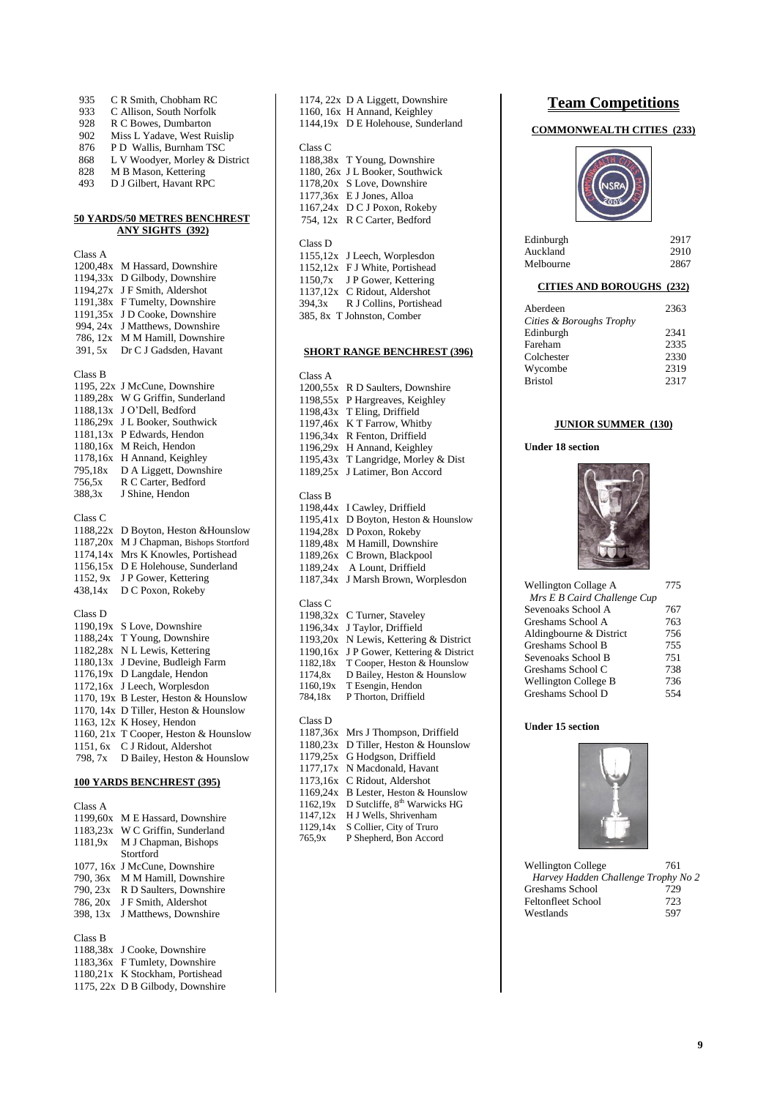| 935<br>933<br>928<br>902<br>876<br>868<br>828<br>493                                                                        | C R Smith, Chobham RC<br>C Allison, South Norfolk<br>R C Bowes, Dumbarton<br>Miss L Yadave, West Ruislip<br>P D Wallis, Burnham TSC<br>L V Woodyer, Morley & District<br>M B Mason, Kettering<br>D J Gilbert, Havant RPC                                                                                                                                |  |
|-----------------------------------------------------------------------------------------------------------------------------|---------------------------------------------------------------------------------------------------------------------------------------------------------------------------------------------------------------------------------------------------------------------------------------------------------------------------------------------------------|--|
| <u>50 YARDS/50 METRES BENCHREST</u><br><b>ANY SIGHTS (392)</b>                                                              |                                                                                                                                                                                                                                                                                                                                                         |  |
| Class A<br>1200,48x<br>1194,33x<br>1194,27x<br>1191,38x<br>1191,35x<br>994, 24x<br>786, 12x<br>391, 5x                      | M Hassard, Downshire<br>D Gilbody, Downshire<br>J F Smith, Aldershot<br>F Tumelty, Downshire<br>J D Cooke, Downshire<br>J Matthews, Downshire<br>M M Hamill, Downshire<br>Dr C J Gadsden, Havant                                                                                                                                                        |  |
| Class B<br>1195, 22x<br>1189,28x<br>1188,13x<br>1186,29x<br>1181,13x<br>1180,16x<br>1178,16x<br>795,18x<br>756,5x<br>388,3x | J McCune, Downshire<br>W G Griffin, Sunderland<br>J O'Dell, Bedford<br>J L Booker, Southwick<br>P Edwards, Hendon<br>M Reich, Hendon<br>H Annand, Keighley<br>D A Liggett, Downshire<br>R C Carter, Bedford<br>J Shine, Hendon                                                                                                                          |  |
| Class C<br>1188,22x<br>1187,20x<br>1174,14x<br>1156,15x<br>1152, 9x<br>438,14x                                              | D Boyton, Heston & Hounslow<br>M J Chapman, Bishops Stortford<br>Mrs K Knowles, Portishead<br>D E Holehouse, Sunderland<br>J P Gower, Kettering<br>D C Poxon, Rokeby                                                                                                                                                                                    |  |
| Class D<br>1190,19x<br>1188,24x<br>1182,28x<br>1180,13x<br>1176,19x<br>1172,16x<br>1151, 6x<br>798, 7x                      | S Love, Downshire<br>T Young, Downshire<br>N L Lewis, Kettering<br>J Devine, Budleigh Farm<br>D Langdale, Hendon<br>J Leech, Worplesdon<br>1170, 19x B Lester, Heston & Hounslow<br>1170, 14x D Tiller, Heston & Hounslow<br>1163, 12x K Hosey, Hendon<br>1160, 21x T Cooper, Heston & Hounslow<br>C J Ridout, Aldershot<br>D Bailey, Heston & Hounslow |  |
| <b>100 YARDS BENCHREST (395)</b>                                                                                            |                                                                                                                                                                                                                                                                                                                                                         |  |
| Class A<br>1199,60x<br>1183,23x<br>1181,9x<br>1077, 16x<br>790, 36x<br>790, 23x<br>786, 20x<br>398, 13x                     | M E Hassard, Downshire<br>W C Griffin, Sunderland<br>M J Chapman, Bishops<br>Stortford<br>J McCune, Downshire<br>M M Hamill, Downshire<br>R D Saulters, Downshire<br>J F Smith, Aldershot<br>J Matthews, Downshire                                                                                                                                      |  |

Class B

- 1188,38x J Cooke, Downshire 1183,36x F Tumlety, Downshire
- 1180,21x K Stockham, Portishead
- 1175, 22x D B Gilbody, Downshire

|                                                                                                         | 1174, 22x D A Liggett, Downshire<br>1160, 16x H Annand, Keighley<br>1144,19x D E Holehouse, Sunderland                                                                                                                   |
|---------------------------------------------------------------------------------------------------------|--------------------------------------------------------------------------------------------------------------------------------------------------------------------------------------------------------------------------|
| Class C<br>1188,38x<br>1180, 26x<br>1178,20x<br>1177,36x<br>1167,24x<br>754, 12x                        | T Young, Downshire<br>J L Booker, Southwick<br>S Love, Downshire<br>E J Jones, Alloa<br>D C J Poxon, Rokeby<br>R C Carter, Bedford                                                                                       |
| Class D<br>1155,12x<br>1152,12x<br>1150,7x<br>1137,12x<br>394,3x                                        | J Leech, Worplesdon<br>F J White, Portishead<br>J P Gower, Kettering<br>C Ridout, Aldershot<br>R J Collins, Portishead<br>385, 8x T Johnston, Comber                                                                     |
|                                                                                                         | <u>SHORT RANGE BENCHREST (396)</u>                                                                                                                                                                                       |
| Class A<br>1200,55x<br>1198,55x<br>1198,43x<br>1197,46x<br>1196,34x<br>1196,29x<br>1195,43x<br>1189,25x | R D Saulters, Downshire<br>P Hargreaves, Keighley<br>T Eling, Driffield<br>K T Farrow, Whitby<br>R Fenton, Driffield<br>H Annand, Keighley<br>T Langridge, Morley & Dist<br>J Latimer, Bon Accord                        |
| Class B<br>1198,44x<br>1195,41x<br>1194,28x<br>1189,48x<br>1189,26x<br>1189,24x<br>1187,34x             | I Cawley, Driffield<br>D Boyton, Heston & Hounslow<br>D Poxon, Rokeby<br>M Hamill, Downshire<br>C Brown, Blackpool<br>A Lount, Driffield<br>J Marsh Brown, Worplesdon                                                    |
| Class C<br>1198,32x<br>1196,34x<br>1193,20x<br>1190,16x<br>1182,18x<br>1174,8x<br>1160,19x<br>784,18x   | C Turner, Staveley<br>J Taylor, Driffield<br>N Lewis, Kettering & District<br>J P Gower, Kettering & District<br>T Cooper, Heston & Hounslow<br>D Bailey, Heston & Hounslow<br>T Esengin, Hendon<br>P Thorton, Driffield |
| Class D<br>1187,36x<br>1180,23x<br>1179,25x<br>1177,17x<br>1173,16x<br>1169,24x<br>1162,19x             | Mrs J Thompson, Driffield<br>D Tiller, Heston & Hounslow<br>G Hodgson, Driffield<br>N Macdonald, Havant<br>C Ridout, Aldershot<br>B Lester, Heston & Hounslow<br>D Sutcliffe, 8 <sup>th</sup> Warwicks HG                |

1147,12x H J Wells, Shrivenham 1129,14x S Collier, City of Truro 765,9x P Shepherd, Bon Accord

## **Team Competitions**

## **COMMONWEALTH CITIES (233)**



| Edinburgh | 2917 |
|-----------|------|
| Auckland  | 2910 |
| Melbourne | 2867 |

### **CITIES AND BOROUGHS (232)**

| Aberdeen                 | 2363 |
|--------------------------|------|
| Cities & Boroughs Trophy |      |
| Edinburgh                | 2341 |
| Fareham                  | 2335 |
| Colchester               | 2330 |
| Wycombe                  | 2319 |
| <b>Bristol</b>           | 2317 |
|                          |      |

#### **JUNIOR SUMMER (130)**

#### **Under 18 section**



| Wellington Collage A        | 775 |
|-----------------------------|-----|
| Mrs E B Caird Challenge Cup |     |
| Sevenoaks School A          | 767 |
| Greshams School A           | 763 |
| Aldingbourne & District     | 756 |
| Greshams School B           | 755 |
| Sevenoaks School B          | 751 |
| Greshams School C           | 738 |
| <b>Wellington College B</b> | 736 |
| Greshams School D           | 554 |

## **Under 15 section**



Wellington College 761 *Harvey Hadden Challenge Trophy No 2* Greshams School 729<br>Feltonfleet School 723 Feltonfleet School Westlands 597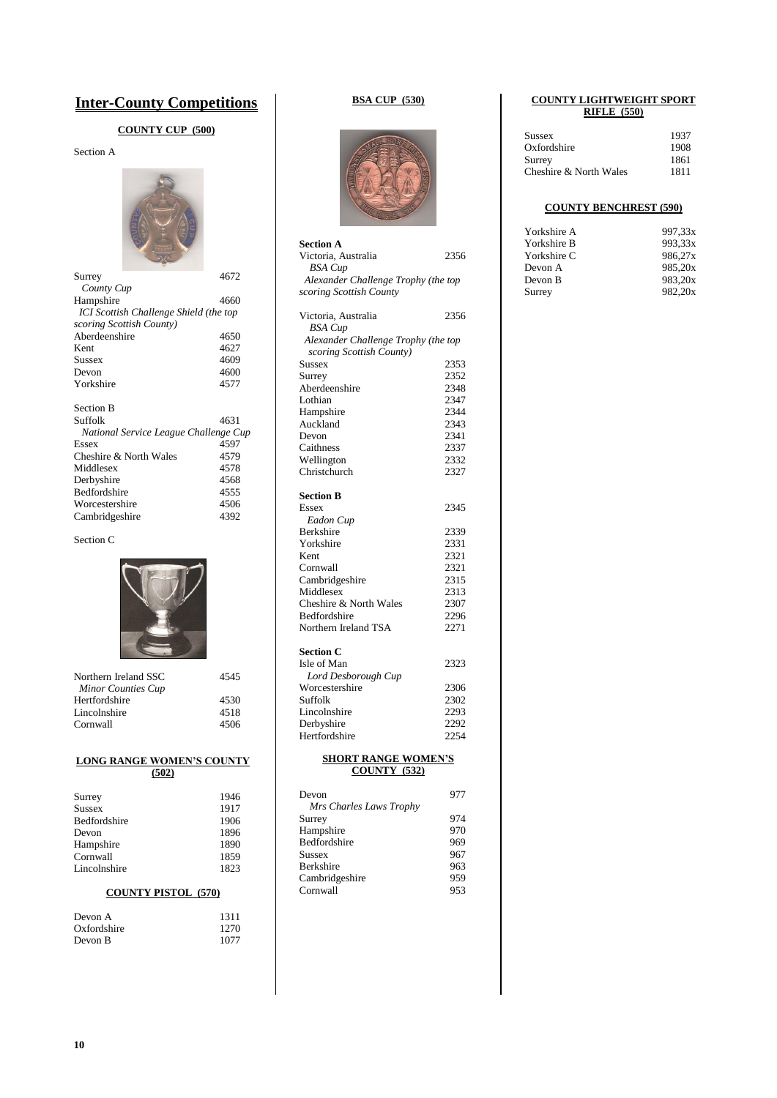## **Inter-County Competitions**

## **COUNTY CUP (500)**

Section A



| Surrey                                 | 4672 |
|----------------------------------------|------|
| County Cup                             |      |
| Hampshire                              | 4660 |
| ICI Scottish Challenge Shield (the top |      |
| scoring Scottish County)               |      |
| Aberdeenshire                          | 4650 |
| Kent                                   | 4627 |
| Sussex                                 | 4609 |
| Devon                                  | 4600 |
| Yorkshire                              | 4577 |
|                                        |      |
| <b>Section B</b>                       |      |
| Suffolk                                | 4631 |
| National Service League Challenge Cup  |      |
| Essex                                  | 4597 |
| Cheshire & North Wales                 | 4579 |
| Middlesex                              | 4578 |
| Derbyshire                             | 4568 |
| <b>Bedfordshire</b>                    | 4555 |
| Worcestershire                         | 4506 |
| Cambridgeshire                         | 4392 |
|                                        |      |

Section C



| Northern Ireland SSC      | 4545 |
|---------------------------|------|
| <b>Minor Counties Cup</b> |      |
| Hertfordshire             | 4530 |
| Lincolnshire              | 4518 |
| Cornwall                  | 4506 |
|                           |      |

#### **LONG RANGE WOMEN'S COUNTY (502)**

| Surrey              | 1946 |
|---------------------|------|
| <b>Sussex</b>       | 1917 |
| <b>Bedfordshire</b> | 1906 |
| Devon               | 1896 |
| Hampshire           | 1890 |
| Cornwall            | 1859 |
| Lincolnshire        | 1823 |
|                     |      |

## **COUNTY PISTOL (570)**

| 1311 |
|------|
| 1270 |
| 1077 |
|      |

## **BSA CUP (530)**



| <b>Section A</b>                    |      |  |  |  |
|-------------------------------------|------|--|--|--|
| Victoria, Australia                 | 2356 |  |  |  |
| <b>BSA</b> Cup                      |      |  |  |  |
| Alexander Challenge Trophy (the top |      |  |  |  |
| scoring Scottish County             |      |  |  |  |
| Victoria, Australia                 | 2356 |  |  |  |
| <b>BSA</b> Cup                      |      |  |  |  |
| Alexander Challenge Trophy (the top |      |  |  |  |
| scoring Scottish County)            |      |  |  |  |
| Sussex                              | 2353 |  |  |  |
| Surrey                              | 2352 |  |  |  |
| Aberdeenshire                       | 2348 |  |  |  |
| Lothian                             | 2347 |  |  |  |
| Hampshire                           | 2344 |  |  |  |
| Auckland                            | 2343 |  |  |  |
| Devon                               | 2341 |  |  |  |
| Caithness                           | 2337 |  |  |  |
| Wellington                          | 2332 |  |  |  |
| Christchurch                        | 2327 |  |  |  |
| <b>Section B</b>                    |      |  |  |  |
| <b>Essex</b>                        | 2345 |  |  |  |
| Eadon Cup                           |      |  |  |  |
| Berkshire                           | 2339 |  |  |  |
| Yorkshire                           | 2331 |  |  |  |
| Kent                                | 2321 |  |  |  |
| Cornwall                            | 2321 |  |  |  |
| Cambridgeshire                      | 2315 |  |  |  |
| Middlesex                           | 2313 |  |  |  |
| Cheshire & North Wales              | 2307 |  |  |  |
| Bedfordshire                        | 2296 |  |  |  |
| Northern Ireland TSA                | 2271 |  |  |  |
| Section C                           |      |  |  |  |
| Isle of Man                         | 2323 |  |  |  |
| Lord Desborough Cup                 |      |  |  |  |
| Worcestershire                      | 2306 |  |  |  |
| Suffolk                             | 2302 |  |  |  |
| Lincolnshire                        | 2293 |  |  |  |
| Derbyshire                          | 2292 |  |  |  |
| Hertfordshire                       | 2254 |  |  |  |
| <b>SHORT RANGE WOMEN'S</b>          |      |  |  |  |
| <b>COUNTY (532)</b>                 |      |  |  |  |
| Devon                               | 977  |  |  |  |
| Mrs Charles Laws Trophy             |      |  |  |  |
| Surrey                              | 974  |  |  |  |
| Hampshire                           | 970  |  |  |  |
| Bedfordshire                        | 969  |  |  |  |
| Sussex                              | 967  |  |  |  |
| Berkshire                           | 963  |  |  |  |
| Cambridgeshire                      | 959  |  |  |  |
| Cornwall                            | 953  |  |  |  |

#### **COUNTY LIGHTWEIGHT SPORT RIFLE (550)**

| Sussex                 | 1937 |
|------------------------|------|
| Oxfordshire            | 1908 |
| Surrey                 | 1861 |
| Cheshire & North Wales | 1811 |

## **COUNTY BENCHREST (590)**

| Yorkshire A | 997.33x |
|-------------|---------|
| Yorkshire B | 993.33x |
| Yorkshire C | 986.27x |
| Devon A     | 985.20x |
| Devon B     | 983.20x |
| Surrey      | 982.20x |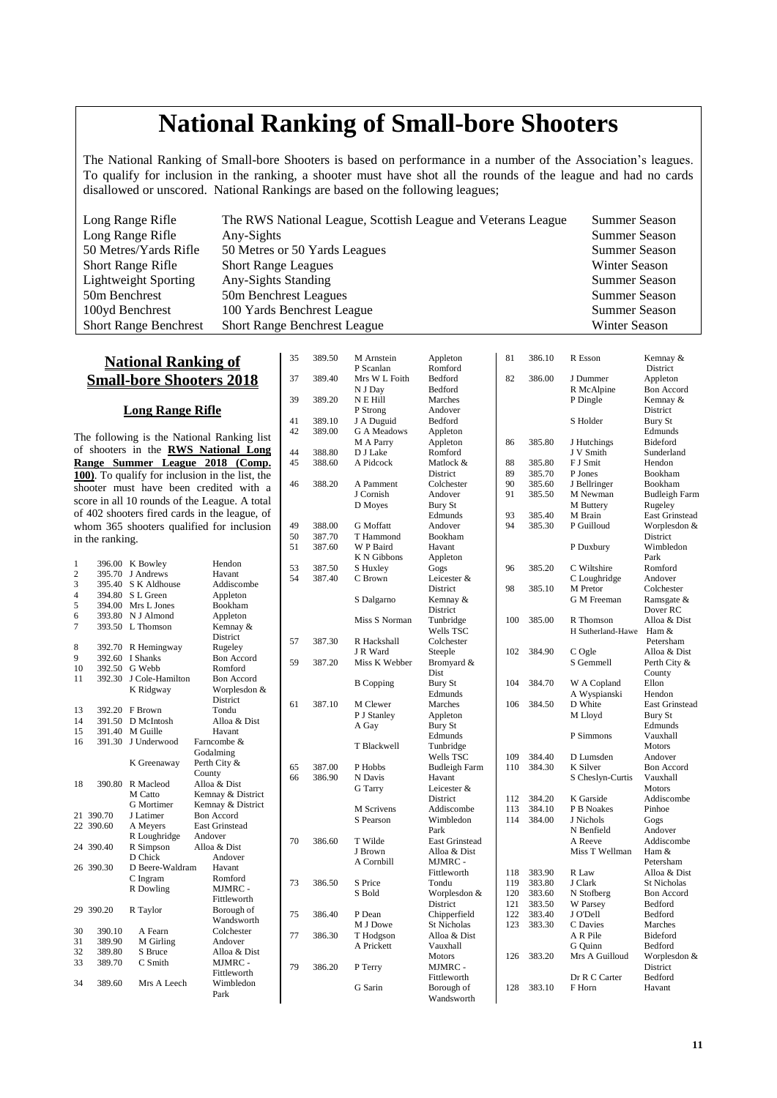# **National Ranking of Small-bore Shooters**

The National Ranking of Small-bore Shooters is based on performance in a number of the Association's leagues. To qualify for inclusion in the ranking, a shooter must have shot all the rounds of the league and had no cards disallowed or unscored. National Rankings are based on the following leagues;

| Long Range Rifle             | The RWS National League, Scottish League and Veterans League | <b>Summer Season</b> |
|------------------------------|--------------------------------------------------------------|----------------------|
| Long Range Rifle             | Any-Sights                                                   | <b>Summer Season</b> |
| 50 Metres/Yards Rifle        | 50 Metres or 50 Yards Leagues                                | <b>Summer Season</b> |
| <b>Short Range Rifle</b>     | <b>Short Range Leagues</b>                                   | Winter Season        |
| <b>Lightweight Sporting</b>  | Any-Sights Standing                                          | <b>Summer Season</b> |
| 50m Benchrest                | 50m Benchrest Leagues                                        | <b>Summer Season</b> |
| 100yd Benchrest              | 100 Yards Benchrest League                                   | <b>Summer Season</b> |
| <b>Short Range Benchrest</b> | <b>Short Range Benchrest League</b>                          | Winter Season        |

35 389.50 M Arnstein Appleton

## **National Ranking of Small-bore Shooters 2018**

## **Long Range Rifle**

The following is the National Ranking list of shooters in the **RWS National Long Range Summer League 2018 (Comp. 100)**. To qualify for inclusion in the list, the shooter must have been credited with a score in all 10 rounds of the League. A total of 402 shooters fired cards in the league, of whom 365 shooters qualified for inclusion in the ranking.

| 1              | 396.00    | K Bowley        | Hendon                |
|----------------|-----------|-----------------|-----------------------|
| $\overline{c}$ | 395.70    | J Andrews       | Havant                |
| 3              | 395.40    | S K Aldhouse    | Addiscombe            |
| $\overline{4}$ | 394.80    | S L Green       | Appleton              |
| 5              | 394.00    | Mrs L Jones     | Bookham               |
| 6              | 393.80    | N J Almond      | Appleton              |
| $\overline{7}$ | 393.50    | L. Thomson      | Kemnay &              |
|                |           |                 | <b>District</b>       |
| 8              | 392.70    | R Hemingway     | Rugeley               |
| 9              | 392.60    | <b>I</b> Shanks | <b>Bon Accord</b>     |
| 10             | 392.50    | G Webb          | Romford               |
| 11             | 392.30    | J Cole-Hamilton | <b>Bon Accord</b>     |
|                |           |                 | Worplesdon &          |
|                |           | K Ridgway       | District              |
|                |           |                 |                       |
| 13             | 392.20    | F Brown         | Tondu                 |
| 14             | 391.50    | D McIntosh      | Alloa & Dist          |
| 15             | 391.40    | M Guille        | Havant                |
| 16             | 391.30    | J Underwood     | Farncombe &           |
|                |           |                 | Godalming             |
|                |           | K Greenaway     | Perth City &          |
|                |           |                 | County                |
| 18             | 390.80    | R Macleod       | Alloa & Dist          |
|                |           | M Catto         | Kemnay & District     |
|                |           | G Mortimer      | Kemnay & District     |
| 21             | 390.70    | J Latimer       | <b>Bon Accord</b>     |
| 22.            | 390.60    | A Meyers        | <b>East Grinstead</b> |
|                |           | R Loughridge    | Andover               |
| 24             | 390.40    | R Simpson       | Alloa & Dist          |
|                |           | D Chick         | Andover               |
|                | 26 390.30 | D Beere-Waldram | Havant                |
|                |           | C Ingram        | Romford               |
|                |           | R Dowling       | MJMRC -               |
|                |           |                 | Fittleworth           |
|                | 29 390.20 | R Taylor        | Borough of            |
|                |           |                 | Wandsworth            |
| 30             | 390.10    | A Fearn         | Colchester            |
| 31             | 389.90    | M Girling       | Andover               |
| 32             | 389.80    | S Bruce         | Alloa & Dist          |
| 33             | 389.70    | C Smith         | MJMRC -               |
|                |           |                 | Fittleworth           |
| 34             | 389.60    | Mrs A Leech     | Wimbledon             |
|                |           |                 | Park                  |
|                |           |                 |                       |

| -- |        | P Scanlan         | $i$ represent<br>Romford  |            |                  |                             | ***********************<br>District |
|----|--------|-------------------|---------------------------|------------|------------------|-----------------------------|-------------------------------------|
| 37 | 389.40 | Mrs W L Foith     | Bedford                   | 82         | 386.00           | J Dummer                    | Appleton                            |
|    |        | N J Day           | Bedford                   |            |                  | R McAlpine                  | <b>Bon Accord</b>                   |
| 39 | 389.20 | N E Hill          | Marches                   |            |                  | P Dingle                    | Kemnay &                            |
|    |        | P Strong          | Andover                   |            |                  |                             | District                            |
| 41 | 389.10 | J A Duguid        | Bedford                   |            |                  | S Holder                    | <b>Bury St</b>                      |
| 42 | 389.00 | G A Meadows       | Appleton                  |            |                  |                             | Edmunds                             |
|    |        | M A Parry         | Appleton                  | 86         | 385.80           | J Hutchings                 | Bideford                            |
| 44 | 388.80 | D J Lake          | Romford                   |            |                  | J V Smith                   | Sunderland                          |
| 45 | 388.60 | A Pidcock         | Matlock &                 | 88         | 385.80           | F J Smit                    | Hendon                              |
|    |        |                   | District                  | 89         | 385.70           | P Jones                     | Bookham                             |
| 46 | 388.20 | A Pamment         | Colchester                | 90         | 385.60           | J Bellringer                | Bookham                             |
|    |        | J Cornish         | Andover                   | 91         | 385.50           | M Newman                    | <b>Budleigh Farm</b>                |
|    |        | D Moyes           | Bury St                   |            |                  | M Buttery                   | Rugeley                             |
|    |        |                   | Edmunds                   | 93         | 385.40           | M Brain                     | <b>East Grinstead</b>               |
| 49 | 388.00 | G Moffatt         | Andover                   | 94         | 385.30           | P Guilloud                  | Worplesdon &                        |
| 50 | 387.70 | T Hammond         | Bookham                   |            |                  |                             | District                            |
| 51 | 387.60 | W P Baird         | Havant                    |            |                  | P Duxbury                   | Wimbledon                           |
|    |        | K N Gibbons       | Appleton                  |            |                  |                             | Park                                |
| 53 | 387.50 | S Huxley          | Gogs                      | 96         | 385.20           | C Wiltshire                 | Romford                             |
| 54 | 387.40 | C Brown           | Leicester &               |            |                  | C Loughridge                | Andover                             |
|    |        |                   | District                  | 98         | 385.10           | M Pretor                    | Colchester                          |
|    |        | S Dalgarno        | Kemnay &                  |            |                  | <b>G</b> M Freeman          | Ramsgate &                          |
|    |        |                   | District                  |            |                  |                             | Dover RC                            |
|    |        | Miss S Norman     | Tunbridge                 | 100        | 385.00           | R Thomson                   | Alloa & Dist                        |
|    |        |                   | Wells TSC                 |            |                  | H Sutherland-Hawe           | Ham &                               |
| 57 | 387.30 | R Hackshall       | Colchester                |            |                  |                             | Petersham                           |
|    |        | J R Ward          | Steeple                   | 102        | 384.90           | C Ogle                      | Alloa & Dist                        |
| 59 | 387.20 | Miss K Webber     | Bromyard &                |            |                  | S Gemmell                   | Perth City &                        |
|    |        |                   | Dist                      | 104        | 384.70           |                             | County<br>Ellon                     |
|    |        | <b>B</b> Copping  | <b>Bury St</b><br>Edmunds |            |                  | W A Copland<br>A Wyspianski | Hendon                              |
| 61 | 387.10 | M Clewer          | Marches                   | 106        | 384.50           | D White                     | <b>East Grinstead</b>               |
|    |        | P J Stanley       | Appleton                  |            |                  | M Lloyd                     | <b>Bury St</b>                      |
|    |        | A Gay             | Bury St                   |            |                  |                             | Edmunds                             |
|    |        |                   | Edmunds                   |            |                  | P Simmons                   | Vauxhall                            |
|    |        | T Blackwell       | Tunbridge                 |            |                  |                             | Motors                              |
|    |        |                   | Wells TSC                 | 109        | 384.40           | D Lumsden                   | Andover                             |
| 65 | 387.00 | P Hobbs           | <b>Budleigh Farm</b>      | 110        | 384.30           | K Silver                    | Bon Accord                          |
| 66 | 386.90 | N Davis           | Havant                    |            |                  | S Cheslyn-Curtis            | Vauxhall                            |
|    |        | G Tarry           | Leicester &               |            |                  |                             | <b>Motors</b>                       |
|    |        |                   | District                  | 112        | 384.20           | K Garside                   | Addiscombe                          |
|    |        | M Scrivens        | Addiscombe                | 113        | 384.10           | P B Noakes                  | Pinhoe                              |
|    |        | S Pearson         | Wimbledon                 | 114        | 384.00           | J Nichols                   | Gogs                                |
|    |        |                   | Park                      |            |                  | N Benfield                  | Andover                             |
| 70 | 386.60 | T Wilde           | <b>East Grinstead</b>     |            |                  | A Reeve                     | Addiscombe                          |
|    |        | J Brown           | Alloa & Dist              |            |                  | Miss T Wellman              | Ham &                               |
|    |        | A Cornbill        | MJMRC -                   |            |                  |                             | Petersham                           |
|    |        |                   | Fittleworth<br>Tondu      | 118<br>119 | 383.90           | R Law                       | Alloa & Dist                        |
| 73 | 386.50 | S Price<br>S Bold |                           | 120        | 383.80<br>383.60 | J Clark                     | <b>St Nicholas</b>                  |
|    |        |                   | Worplesdon &<br>District  | 121        | 383.50           | N Stofberg<br>W Parsey      | <b>Bon Accord</b><br>Bedford        |
| 75 | 386.40 | P Dean            | Chipperfield              | 122        | 383.40           | J O'Dell                    | Bedford                             |
|    |        | M J Dowe          | St Nicholas               | 123        | 383.30           | C Davies                    | Marches                             |
| 77 | 386.30 | T Hodgson         | Alloa & Dist              |            |                  | A R Pile                    | Bideford                            |
|    |        | A Prickett        | Vauxhall                  |            |                  | G Quinn                     | Bedford                             |
|    |        |                   | Motors                    | 126        | 383.20           | Mrs A Guilloud              | Worplesdon &                        |
| 79 | 386.20 | P Terry           | MJMRC -                   |            |                  |                             | District                            |
|    |        |                   | Fittleworth               |            |                  | Dr R C Carter               | Bedford                             |
|    |        | G Sarin           | Borough of                | 128        | 383.10           | F Horn                      | Havant                              |
|    |        |                   | Wandsworth                |            |                  |                             |                                     |

 $81$  386.10 R Esson Kemnay &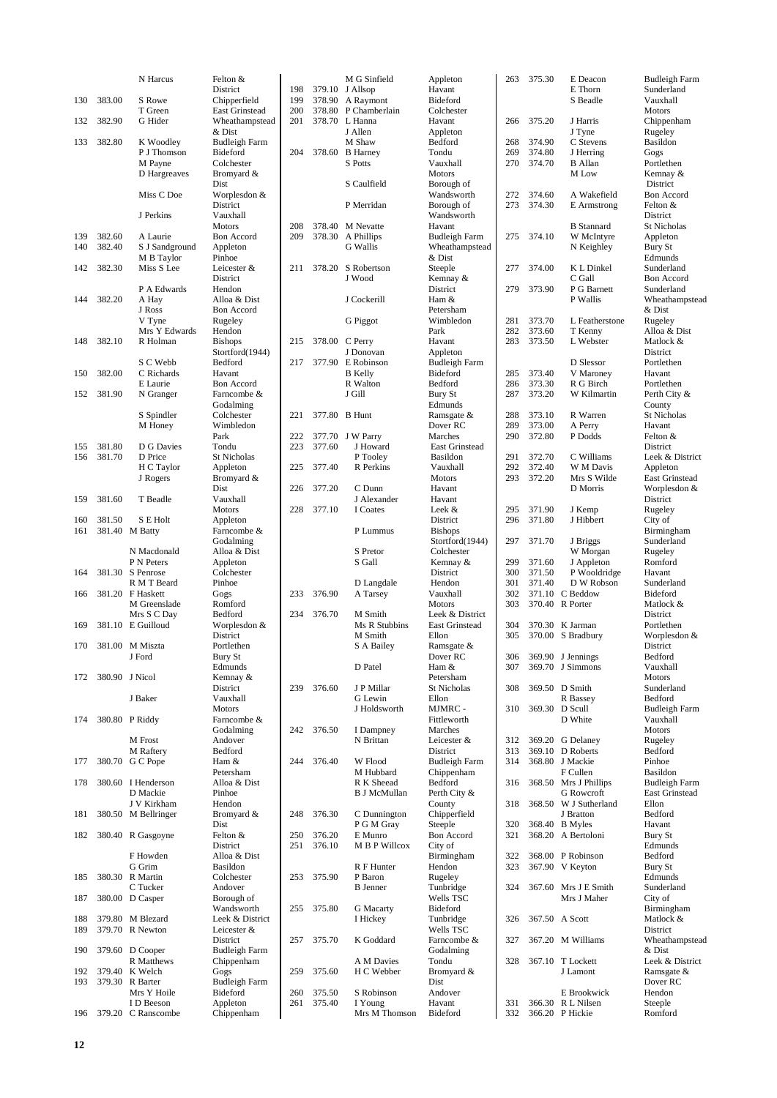|            |                  | N Harcus                          | Felton &                              |            |        | M G Sinfield                             | Appleton                               | 263        | 375.30           | E Deacon                             | Budleigh Farm               |
|------------|------------------|-----------------------------------|---------------------------------------|------------|--------|------------------------------------------|----------------------------------------|------------|------------------|--------------------------------------|-----------------------------|
|            | 383.00           | S Rowe                            | District                              | 198<br>199 |        | 379.10 J Allsop                          | Havant<br>Bideford                     |            |                  | E Thorn<br>S Beadle                  | Sunderland                  |
| 130        |                  | T Green                           | Chipperfield<br><b>East Grinstead</b> | 200        |        | 378.90 A Raymont<br>378.80 P Chamberlain | Colchester                             |            |                  |                                      | Vauxhall<br><b>Motors</b>   |
| 132        | 382.90           | G Hider                           | Wheathampstead                        | 201        |        | 378.70 L Hanna                           | Havant                                 | 266        | 375.20           | J Harris                             | Chippenham                  |
|            |                  |                                   | & Dist                                |            |        | J Allen                                  | Appleton                               |            |                  | J Tyne                               | Rugeley                     |
| 133        | 382.80           | K Woodley                         | <b>Budleigh Farm</b>                  |            |        | M Shaw                                   | Bedford                                | 268        | 374.90           | C Stevens                            | Basildon                    |
|            |                  | P J Thomson                       | Bideford                              | 204        |        | 378.60 B Harney                          | Tondu                                  | 269        | 374.80           | J Herring                            | Gogs                        |
|            |                  | M Payne<br>D Hargreaves           | Colchester<br>Bromyard &              |            |        | S Potts                                  | Vauxhall<br>Motors                     | 270        | 374.70           | <b>B</b> Allan<br>M Low              | Portlethen<br>Kemnay &      |
|            |                  |                                   | Dist                                  |            |        | S Caulfield                              | Borough of                             |            |                  |                                      | District                    |
|            |                  | Miss C Doe                        | Worplesdon &                          |            |        |                                          | Wandsworth                             | 272        | 374.60           | A Wakefield                          | Bon Accord                  |
|            |                  |                                   | District                              |            |        | P Merridan                               | Borough of                             | 273        | 374.30           | E Armstrong                          | Felton &                    |
|            |                  | J Perkins                         | Vauxhall                              |            |        |                                          | Wandsworth                             |            |                  |                                      | District                    |
|            |                  |                                   | <b>Motors</b>                         | 208        |        | 378.40 M Nevatte                         | Havant                                 |            |                  | <b>B</b> Stannard                    | <b>St Nicholas</b>          |
| 139<br>140 | 382.60<br>382.40 | A Laurie<br>S J Sandground        | Bon Accord<br>Appleton                | 209        |        | 378.30 A Phillips<br><b>G</b> Wallis     | <b>Budleigh Farm</b><br>Wheathampstead | 275        | 374.10           | W McIntyre                           | Appleton<br>Bury St         |
|            |                  | M B Taylor                        | Pinhoe                                |            |        |                                          | & Dist                                 |            |                  | N Keighley                           | Edmunds                     |
| 142        | 382.30           | Miss S Lee                        | Leicester &                           | 211        | 378.20 | S Robertson                              | Steeple                                | 277        | 374.00           | K L Dinkel                           | Sunderland                  |
|            |                  |                                   | District                              |            |        | J Wood                                   | Kemnay &                               |            |                  | C Gall                               | <b>Bon Accord</b>           |
|            |                  | P A Edwards                       | Hendon                                |            |        |                                          | District                               | 279        | 373.90           | P G Barnett                          | Sunderland                  |
| 144        | 382.20           | A Hay                             | Alloa & Dist                          |            |        | J Cockerill                              | Ham &                                  |            |                  | P Wallis                             | Wheathampstead              |
|            |                  | J Ross<br>V Tyne                  | Bon Accord<br>Rugeley                 |            |        | G Piggot                                 | Petersham<br>Wimbledon                 | 281        | 373.70           | L Featherstone                       | & Dist<br>Rugeley           |
|            |                  | Mrs Y Edwards                     | Hendon                                |            |        |                                          | Park                                   | 282        | 373.60           | T Kenny                              | Alloa & Dist                |
| 148        | 382.10           | R Holman                          | <b>Bishops</b>                        | 215        |        | 378.00 C Perry                           | Havant                                 | 283        | 373.50           | L Webster                            | Matlock &                   |
|            |                  |                                   | Stortford(1944)                       |            |        | J Donovan                                | Appleton                               |            |                  |                                      | District                    |
|            |                  | S C Webb                          | Bedford                               | 217        |        | 377.90 E Robinson                        | <b>Budleigh Farm</b>                   |            |                  | D Slessor                            | Portlethen                  |
| 150        | 382.00           | C Richards                        | Havant                                |            |        | <b>B</b> Kelly                           | <b>Bideford</b>                        | 285        | 373.40<br>373.30 | V Maroney                            | Havant                      |
| 152        | 381.90           | E Laurie<br>N Granger             | <b>Bon Accord</b><br>Farncombe &      |            |        | R Walton<br>J Gill                       | Bedford<br>Bury St                     | 286<br>287 | 373.20           | R G Birch<br>W Kilmartin             | Portlethen<br>Perth City &  |
|            |                  |                                   | Godalming                             |            |        |                                          | Edmunds                                |            |                  |                                      | County                      |
|            |                  | S Spindler                        | Colchester                            | 221        |        | 377.80 B Hunt                            | Ramsgate &                             | 288        | 373.10           | R Warren                             | St Nicholas                 |
|            |                  | M Honey                           | Wimbledon                             |            |        |                                          | Dover RC                               | 289        | 373.00           | A Perry                              | Havant                      |
|            |                  |                                   | Park                                  | 222        |        | 377.70 J W Parry                         | Marches                                | 290        | 372.80           | P Dodds                              | Felton &                    |
| 155        | 381.80           | D G Davies                        | Tondu                                 | 223        | 377.60 | J Howard                                 | <b>East Grinstead</b>                  |            |                  |                                      | District                    |
| 156        | 381.70           | D Price<br>H C Taylor             | St Nicholas<br>Appleton               | 225        | 377.40 | P Tooley<br>R Perkins                    | Basildon<br>Vauxhall                   | 291<br>292 | 372.70<br>372.40 | C Williams<br>W M Davis              | Leek & District<br>Appleton |
|            |                  | J Rogers                          | Bromyard &                            |            |        |                                          | <b>Motors</b>                          | 293        | 372.20           | Mrs S Wilde                          | East Grinstead              |
|            |                  |                                   | Dist                                  | 226        | 377.20 | C Dunn                                   | Havant                                 |            |                  | D Morris                             | Worplesdon &                |
| 159        | 381.60           | T Beadle                          | Vauxhall                              |            |        | J Alexander                              | Havant                                 |            |                  |                                      | District                    |
|            |                  |                                   | <b>Motors</b>                         | 228        | 377.10 | I Coates                                 | Leek &                                 | 295        | 371.90           | J Kemp                               | Rugeley                     |
| 160        | 381.50           | S E Holt                          | Appleton                              |            |        |                                          | District                               | 296        | 371.80           | J Hibbert                            | City of                     |
| 161        |                  | 381.40 M Batty                    | Farncombe &<br>Godalming              |            |        | P Lummus                                 | <b>Bishops</b><br>Stortford(1944)      | 297        | 371.70           |                                      | Birmingham<br>Sunderland    |
|            |                  | N Macdonald                       | Alloa & Dist                          |            |        | S Pretor                                 | Colchester                             |            |                  | J Briggs<br>W Morgan                 | Rugeley                     |
|            |                  | P N Peters                        | Appleton                              |            |        | S Gall                                   | Kemnay &                               | 299        | 371.60           | J Appleton                           | Romford                     |
| 164        |                  | 381.30 S Penrose                  | Colchester                            |            |        |                                          | District                               | 300        | 371.50           | P Wooldridge                         | Havant                      |
|            |                  | R M T Beard                       | Pinhoe                                |            |        | D Langdale                               | Hendon                                 | 301        | 371.40           | D W Robson                           | Sunderland                  |
| 166        |                  | 381.20 F Haskett                  | Gogs                                  | 233        | 376.90 | A Tarsey                                 | Vauxhall                               | 302        |                  | 371.10 C Beddow                      | Bideford                    |
|            |                  | M Greenslade<br>Mrs S C Day       | Romford<br>Bedford                    | 234        | 376.70 | M Smith                                  | Motors<br>Leek & District              | 303        |                  | 370.40 R Porter                      | Matlock &<br>District       |
| 169        |                  | 381.10 E Guilloud                 | Worplesdon &                          |            |        | Ms R Stubbins                            | <b>East Grinstead</b>                  | 304        |                  | 370.30 K Jarman                      | Portlethen                  |
|            |                  |                                   | District                              |            |        | M Smith                                  | Ellon                                  | 305        |                  | 370.00 S Bradbury                    | Worplesdon &                |
| 170        |                  | 381.00 M Miszta                   | Portlethen                            |            |        | S A Bailey                               | Ramsgate &                             |            |                  |                                      | District                    |
|            |                  | J Ford                            | Bury St                               |            |        |                                          | Dover RC                               | 306        |                  | 369.90 J Jennings                    | Bedford                     |
|            |                  |                                   | Edmunds                               |            |        | D Patel                                  | Ham &                                  | 307        |                  | 369.70 J Simmons                     | Vauxhall                    |
| 172        |                  | 380.90 J Nicol                    | Kemnay &<br>District                  | 239        | 376.60 | J P Millar                               | Petersham<br>St Nicholas               | 308        |                  | 369.50 D Smith                       | <b>Motors</b><br>Sunderland |
|            |                  | J Baker                           | Vauxhall                              |            |        | G Lewin                                  | Ellon                                  |            |                  | R Bassey                             | Bedford                     |
|            |                  |                                   | <b>Motors</b>                         |            |        | J Holdsworth                             | MJMRC -                                | 310        |                  | 369.30 D Scull                       | <b>Budleigh Farm</b>        |
| 174        |                  | 380.80 P Riddy                    | Farncombe &                           |            |        |                                          | Fittleworth                            |            |                  | D White                              | Vauxhall                    |
|            |                  |                                   | Godalming                             | 242        | 376.50 | I Dampney                                | Marches                                |            |                  |                                      | <b>Motors</b>               |
|            |                  | M Frost                           | Andover<br>Bedford                    |            |        | N Brittan                                | Leicester &                            | 312        |                  | 369.20 G Delaney                     | Rugeley                     |
| 177        | 380.70           | M Raftery<br>G C Pope             | Ham &                                 | 244        | 376.40 | W Flood                                  | District<br><b>Budleigh Farm</b>       | 313<br>314 |                  | 369.10 D Roberts<br>368.80 J Mackie  | Bedford<br>Pinhoe           |
|            |                  |                                   | Petersham                             |            |        | M Hubbard                                | Chippenham                             |            |                  | F Cullen                             | Basildon                    |
| 178        |                  | 380.60 I Henderson                | Alloa & Dist                          |            |        | R K Sheead                               | Bedford                                | 316        |                  | 368.50 Mrs J Phillips                | <b>Budleigh Farm</b>        |
|            |                  | D Mackie                          | Pinhoe                                |            |        | <b>B J McMullan</b>                      | Perth City &                           |            |                  | G Rowcroft                           | <b>East Grinstead</b>       |
|            |                  | J V Kirkham                       | Hendon                                |            |        |                                          | County                                 | 318        |                  | 368.50 W J Sutherland                | Ellon                       |
| 181        |                  | 380.50 M Bellringer               | Bromyard &                            | 248        | 376.30 | C Dunnington                             | Chipperfield                           |            |                  | J Bratton                            | Bedford                     |
| 182        |                  | 380.40 R Gasgoyne                 | Dist<br>Felton &                      | 250        | 376.20 | P G M Gray<br>E Munro                    | Steeple<br>Bon Accord                  | 320<br>321 |                  | 368.40 B Myles<br>368.20 A Bertoloni | Havant<br>Bury St           |
|            |                  |                                   | District                              | 251        | 376.10 | M B P Willcox                            | City of                                |            |                  |                                      | Edmunds                     |
|            |                  | F Howden                          | Alloa & Dist                          |            |        |                                          | Birmingham                             | 322        |                  | 368.00 P Robinson                    | Bedford                     |
|            |                  | G Grim                            | Basildon                              |            |        | R F Hunter                               | Hendon                                 | 323        |                  | 367.90 V Keyton                      | Bury St                     |
| 185        |                  | 380.30 R Martin                   | Colchester                            | 253        | 375.90 | P Baron                                  | Rugeley                                |            |                  |                                      | Edmunds                     |
|            |                  | C Tucker                          | Andover                               |            |        | <b>B</b> Jenner                          | Tunbridge                              | 324        |                  | 367.60 Mrs J E Smith                 | Sunderland                  |
| 187        |                  | 380.00 D Casper                   | Borough of<br>Wandsworth              | 255        | 375.80 |                                          | Wells TSC<br><b>Bideford</b>           |            |                  | Mrs J Maher                          | City of                     |
| 188        |                  | 379.80 M Blezard                  | Leek & District                       |            |        | <b>G</b> Macarty<br>I Hickey             | Tunbridge                              | 326        |                  | 367.50 A Scott                       | Birmingham<br>Matlock &     |
| 189        |                  | 379.70 R Newton                   | Leicester &                           |            |        |                                          | Wells TSC                              |            |                  |                                      | District                    |
|            |                  |                                   | District                              | 257        | 375.70 | K Goddard                                | Farncombe &                            | 327        |                  | 367.20 M Williams                    | Wheathampstead              |
| 190        |                  | 379.60 D Cooper                   | <b>Budleigh Farm</b>                  |            |        |                                          | Godalming                              |            |                  |                                      | & Dist                      |
|            |                  | R Matthews                        | Chippenham                            |            |        | A M Davies                               | Tondu                                  | 328        |                  | 367.10 T Lockett                     | Leek & District             |
| 192<br>193 |                  | 379.40 K Welch<br>379.30 R Barter | Gogs<br><b>Budleigh Farm</b>          | 259        | 375.60 | H C Webber                               | Bromyard &<br>Dist                     |            |                  | J Lamont                             | Ramsgate &<br>Dover RC      |
|            |                  | Mrs Y Hoile                       | Bideford                              | 260        | 375.50 | S Robinson                               | Andover                                |            |                  | E Brookwick                          | Hendon                      |
|            |                  | I D Beeson                        | Appleton                              | 261        | 375.40 | I Young                                  | Havant                                 | 331        |                  | 366.30 R L Nilsen                    | Steeple                     |
|            |                  | 196 379.20 C Ranscombe            | Chippenham                            |            |        | Mrs M Thomson                            | Bideford                               | 332        |                  | 366.20 P Hickie                      | Romford                     |
|            |                  |                                   |                                       |            |        |                                          |                                        |            |                  |                                      |                             |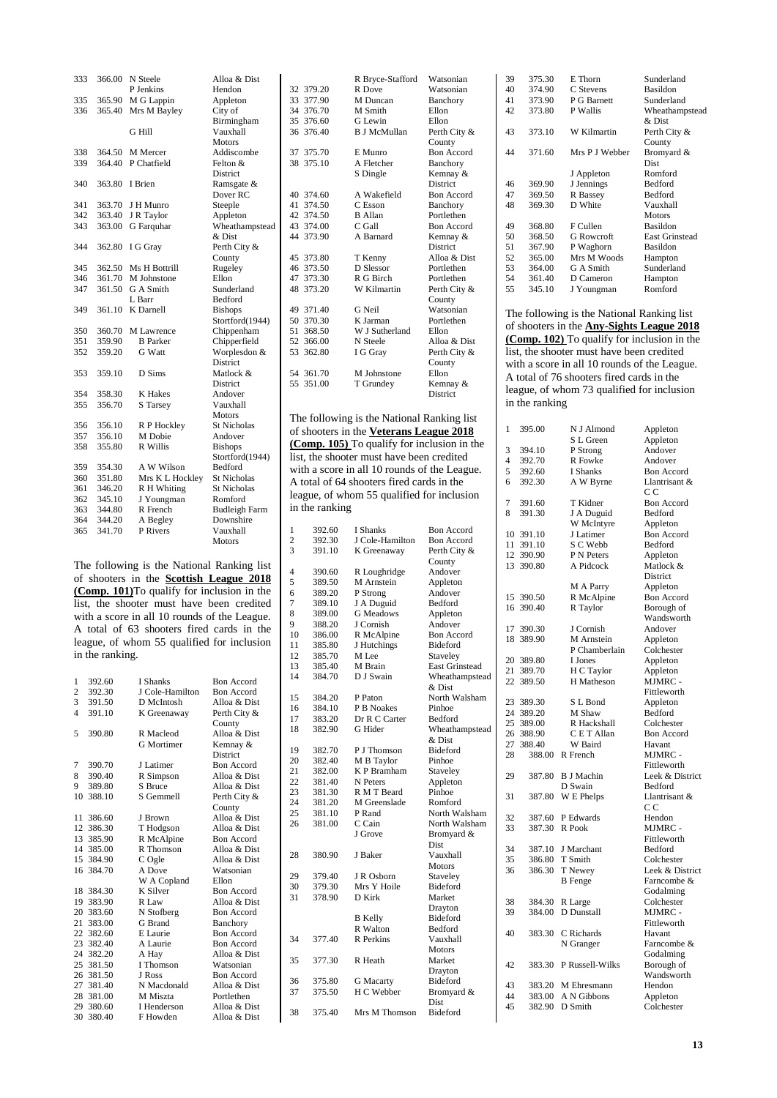| 333 | 366.00 | N Steele        | Alloa & Dist         |
|-----|--------|-----------------|----------------------|
|     |        | P Jenkins       | Hendon               |
| 335 | 365.90 | M G Lappin      | Appleton             |
| 336 | 365.40 | Mrs M Bayley    | City of              |
|     |        |                 | Birmingham           |
|     |        | G Hill          | Vauxhall             |
|     |        |                 | <b>Motors</b>        |
| 338 | 364.50 | M Mercer        | Addiscombe           |
| 339 | 364.40 | P Chatfield     | Felton &             |
|     |        |                 | <b>District</b>      |
| 340 | 363.80 | I Brien         | Ramsgate &           |
|     |        |                 | Dover RC             |
| 341 | 363.70 | J H Munro       | Steeple              |
| 342 | 363.40 | J R Taylor      | Appleton             |
| 343 | 363.00 | G Farquhar      | Wheathampstead       |
|     |        |                 | & Dist               |
| 344 | 362.80 | I G Gray        | Perth City &         |
|     |        |                 | County               |
| 345 | 362.50 | Ms H Bottrill   | Rugeley              |
| 346 | 361.70 | M Johnstone     | Ellon                |
| 347 | 361.50 | G A Smith       | Sunderland           |
|     |        | L Barr          | Bedford              |
| 349 | 361.10 | K Darnell       | <b>Bishops</b>       |
|     |        |                 | Stortford(1944)      |
| 350 | 360.70 | M Lawrence      | Chippenham           |
| 351 | 359.90 | <b>B</b> Parker | Chipperfield         |
| 352 | 359.20 | <b>G</b> Watt   | Worplesdon &         |
|     |        |                 | <b>District</b>      |
| 353 | 359.10 | D Sims          | Matlock &            |
|     |        |                 | <b>District</b>      |
| 354 | 358.30 | <b>K</b> Hakes  | Andover              |
| 355 | 356.70 | S Tarsey        | Vauxhall             |
|     |        |                 | <b>Motors</b>        |
| 356 | 356.10 | R P Hockley     | <b>St Nicholas</b>   |
| 357 | 356.10 | M Dobie         | Andover              |
| 358 | 355.80 | R Willis        | <b>Bishops</b>       |
|     |        |                 | Stortford(1944)      |
| 359 | 354.30 | A W Wilson      | Bedford              |
| 360 | 351.80 | Mrs K L Hockley | <b>St Nicholas</b>   |
| 361 | 346.20 | R H Whiting     | <b>St Nicholas</b>   |
| 362 | 345.10 | J Youngman      | Romford              |
| 363 | 344.80 | R French        | <b>Budleigh Farm</b> |
| 364 | 344.20 | A Begley        | Downshire            |
| 365 | 341.70 | P Rivers        | Vauxhall             |
|     |        |                 | <b>Motors</b>        |
|     |        |                 |                      |

The following is the National Ranking list of shooters in the **Scottish League 2018 (Comp. 101)**To qualify for inclusion in the list, the shooter must have been credited with a score in all 10 rounds of the League. A total of 63 shooters fired cards in the league, of whom 55 qualified for inclusion in the ranking.

| 1                       | 392.60    | I Shanks          | <b>Bon Accord</b> |
|-------------------------|-----------|-------------------|-------------------|
| $\overline{2}$          | 392.30    | J Cole-Hamilton   | <b>Bon Accord</b> |
| 3                       | 391.50    | D McIntosh        | Alloa & Dist      |
| $\overline{\mathbf{4}}$ | 391.10    | K Greenaway       | Perth City &      |
|                         |           |                   | County            |
| 5                       | 390.80    | R Macleod         | Alloa & Dist      |
|                         |           | <b>G</b> Mortimer | Kemnay &          |
|                         |           |                   | <b>District</b>   |
| 7                       | 390.70    | J Latimer         | <b>Bon Accord</b> |
| 8                       | 390.40    | R Simpson         | Alloa & Dist      |
| 9                       | 389.80    | S Bruce           | Alloa & Dist      |
| 10                      | 388.10    | S Gemmell         | Perth City &      |
|                         |           |                   | County            |
|                         | 11 386.60 | J Brown           | Alloa & Dist      |
|                         | 12 386.30 | T Hodgson         | Alloa & Dist      |
|                         | 13 385.90 | R McAlpine        | <b>Bon Accord</b> |
|                         | 14 385.00 | R Thomson         | Alloa & Dist      |
|                         | 15 384.90 | C Ogle            | Alloa & Dist      |
|                         | 16 384.70 | A Dove            | Watsonian         |
|                         |           | W A Copland       | Ellon             |
|                         | 18 384.30 | K Silver          | <b>Bon Accord</b> |
|                         | 19 383.90 | R Law             | Alloa & Dist      |
|                         | 20 383.60 | N Stofberg        | Bon Accord        |
|                         | 21 383.00 | <b>G</b> Brand    | Banchory          |
|                         | 22 382.60 | E Laurie          | <b>Bon Accord</b> |
|                         | 23 382.40 | A Laurie          | <b>Bon Accord</b> |
|                         | 24 382.20 | A Hay             | Alloa & Dist      |
|                         | 25 381.50 | I Thomson         | Watsonian         |
|                         | 26 381.50 | J Ross            | <b>Bon Accord</b> |
|                         | 27 381.40 | N Macdonald       | Alloa & Dist      |
|                         | 28 381.00 | M Miszta          | Portlethen        |
|                         | 29 380.60 | I Henderson       | Alloa & Dist      |
|                         | 30 380.40 | F Howden          | Alloa & Dist      |
|                         |           |                   |                   |

|                |                     | R Bryce-Stafford                             | Watsonian                     |
|----------------|---------------------|----------------------------------------------|-------------------------------|
|                | 32 379.20           | R Dove                                       | Watsonian                     |
| 33             | 377.90              | M Duncan                                     | Banchory                      |
|                | 34 376.70           | M Smith                                      | Ellon                         |
|                | 35 376.60           | G Lewin                                      | Ellon                         |
|                | 36 376.40           | <b>B J McMullan</b>                          | Perth City &                  |
|                |                     |                                              | County                        |
| 37             | 375.70              | E Munro                                      | <b>Bon Accord</b>             |
|                | 38 375.10           | A Fletcher                                   | Banchory                      |
|                |                     | S Dingle                                     | Kemnay &                      |
|                |                     |                                              | District                      |
|                | 40 374.60           | A Wakefield                                  | <b>Bon Accord</b>             |
| 41             | 374.50              | C Esson                                      | Banchory                      |
|                | 42 374.50           | <b>B</b> Allan                               | Portlethen                    |
| 44             | 43 374.00<br>373.90 | C Gall<br>A Barnard                          | <b>Bon Accord</b><br>Kemnay & |
|                |                     |                                              | District                      |
|                | 45 373.80           | T Kenny                                      | Alloa & Dist                  |
|                | 46 373.50           | D Slessor                                    | Portlethen                    |
| 47             | 373.30              | R G Birch                                    | Portlethen                    |
|                | 48 373.20           | W Kilmartin                                  | Perth City &                  |
|                |                     |                                              | County                        |
| 49             | 371.40              | G Neil                                       | Watsonian                     |
|                | 50 370.30           | K Jarman                                     | Portlethen                    |
| 51             | 368.50              | W J Sutherland                               | Ellon                         |
| 52             | 366.00              | N Steele                                     | Alloa & Dist                  |
| 53             | 362.80              | I G Gray                                     | Perth City &                  |
|                |                     |                                              | County                        |
| 54             | 361.70              | M Johnstone                                  | Ellon                         |
| 55             | 351.00              | T Grundey                                    | Kemnay &                      |
|                |                     |                                              | District                      |
|                |                     |                                              |                               |
|                |                     | The following is the National Ranking list   |                               |
|                |                     | of shooters in the Veterans League 2018      |                               |
|                |                     | (Comp. 105) To qualify for inclusion in the  |                               |
|                |                     |                                              |                               |
|                |                     | list, the shooter must have been credited    |                               |
|                |                     | with a score in all 10 rounds of the League. |                               |
|                |                     |                                              |                               |
|                |                     | A total of 64 shooters fired cards in the    |                               |
|                |                     |                                              |                               |
|                |                     | league, of whom 55 qualified for inclusion   |                               |
|                | in the ranking      |                                              |                               |
|                |                     |                                              |                               |
| 1              | 392.60              | I Shanks                                     | <b>Bon Accord</b>             |
| $\overline{c}$ | 392.30              | J Cole-Hamilton                              | <b>Bon Accord</b>             |
| 3              | 391.10              | K Greenaway                                  | Perth City &                  |
|                |                     |                                              | County                        |
| 4              | 390.60              | R Loughridge                                 | Andover                       |
| 5              | 389.50              | M Arnstein                                   | Appleton                      |
| 6              | 389.20              | P Strong                                     | Andover                       |
| 7<br>8         | 389.10<br>389.00    | J A Duguid<br><b>G</b> Meadows               | Bedford<br>Appleton           |
| 9              | 388.20              | J Cornish                                    | Andover                       |
| 10             | 386.00              | R McAlpine                                   | Bon Accord                    |
| 11             | 385.80              | J Hutchings                                  | Bideford                      |
| 12             | 385.70              | M Lee                                        | Staveley                      |
| 13             | 385.40              | M Brain                                      | <b>East Grinstead</b>         |
| 14             | 384.70              | D J Swain                                    | Wheathampstead                |
|                |                     |                                              | & Dist                        |
| 15             | 384.20              | P Paton                                      | North Walsham                 |
| 16             | 384.10              | P B Noakes                                   | Pinhoe                        |
| 17             | 383.20              | Dr R C Carter                                | Bedford                       |
| 18             | 382.90              | G Hider                                      | Wheathampstead                |
|                |                     |                                              | & Dist                        |
| 19             | 382.70              | P J Thomson                                  | Bideford                      |
| 20             | 382.40              | M B Taylor                                   | Pinhoe                        |
| 21             | 382.00              | K P Bramham                                  | Staveley                      |
| 22             | 381.40              | N Peters                                     | Appleton                      |
| 23             | 381.30              | R M T Beard                                  | Pinhoe                        |
| 24             | 381.20              | M Greenslade                                 | Romford                       |
| 25             | 381.10              | P Rand                                       | North Walsham                 |
| 26             | 381.00              | C Cain                                       | North Walsham                 |
|                |                     | J Grove                                      | Bromyard &                    |
|                |                     |                                              | Dist                          |
| 28             | 380.90              | J Baker                                      | Vauxhall                      |
|                |                     |                                              | Motors                        |
| 29<br>30       | 379.40<br>379.30    | J R Osborn<br>Mrs Y Hoile                    | Staveley<br>Bideford          |

35 377.30 R Heath

36 375.80 G Macarty<br>37 375.50 H C Webber

38 375.40 Mrs M Thomson

Drayton

Motors<br>Market

Drayton

Bromyard & Dist

B Kelly<br>
R Walton Bedford<br>
Bedford

R Walton 377.40 R Perkins Vauxhall

| 39             | 375.30 | E Thorn                                          | Sunderland            |  |  |
|----------------|--------|--------------------------------------------------|-----------------------|--|--|
| 40             | 374.90 | C Stevens                                        | Basildon              |  |  |
| 41             | 373.90 | P G Barnett                                      | Sunderland            |  |  |
| 42             | 373.80 | P Wallis                                         | Wheathampstead        |  |  |
|                |        |                                                  | & Dist                |  |  |
| 43             | 373.10 | W Kilmartin                                      | Perth City &          |  |  |
|                |        |                                                  | County                |  |  |
| 44             | 371.60 | Mrs P J Webber                                   | Bromyard &            |  |  |
|                |        |                                                  | Dist                  |  |  |
|                |        | J Appleton                                       | Romford               |  |  |
| 46             | 369.90 | J Jennings                                       | <b>Bedford</b>        |  |  |
| 47             | 369.50 | R Bassey                                         | <b>Bedford</b>        |  |  |
| 48             | 369.30 | D White                                          | Vauxhall              |  |  |
|                |        |                                                  | <b>Motors</b>         |  |  |
| 49             | 368.80 | F Cullen                                         | Basildon              |  |  |
| 50             | 368.50 | <b>G</b> Rowcroft                                | <b>East Grinstead</b> |  |  |
| 51             | 367.90 | P Waghorn                                        | Basildon              |  |  |
| 52             | 365.00 | Mrs M Woods                                      | Hampton               |  |  |
| 53             | 364.00 | G A Smith                                        | Sunderland            |  |  |
| 54             | 361.40 | D Cameron                                        | Hampton               |  |  |
| 55             | 345.10 | J Youngman                                       | Romford               |  |  |
|                |        |                                                  |                       |  |  |
|                |        | The following is the National Ranking list       |                       |  |  |
|                |        | of shooters in the <b>Any-Sights League 2018</b> |                       |  |  |
|                |        | (Comp. 102) To qualify for inclusion in the      |                       |  |  |
|                |        | list, the shooter must have been credited        |                       |  |  |
|                |        |                                                  |                       |  |  |
|                |        | with a score in all 10 rounds of the League.     |                       |  |  |
|                |        | A total of 76 shooters fired cards in the        |                       |  |  |
|                |        | league, of whom 73 qualified for inclusion       |                       |  |  |
| in the ranking |        |                                                  |                       |  |  |

| 1              | 395.00 | N J Almond        | Appleton            |
|----------------|--------|-------------------|---------------------|
|                |        | S L Green         | Appleton            |
| 3              | 394.10 | P Strong          | Andover             |
| $\overline{4}$ | 392.70 | R Fowke           | Andover             |
| 5              | 392.60 | I Shanks          | <b>Bon Accord</b>   |
| 6              | 392.30 | A W Byrne         | Llantrisant &<br>CС |
| 7              | 391.60 | T Kidner          | <b>Bon Accord</b>   |
| 8              | 391.30 | J A Duguid        | Bedford             |
|                |        | W McIntyre        | Appleton            |
| 10             | 391.10 | J Latimer         | <b>Bon Accord</b>   |
| 11             | 391.10 | S C Webb          | Bedford             |
| 12             | 390.90 | P N Peters        | Appleton            |
| 13             | 390.80 | A Pidcock         | Matlock &           |
|                |        |                   | District            |
|                |        | M A Parry         | Appleton            |
| 15             | 390.50 | R McAlpine        | <b>Bon Accord</b>   |
| 16             | 390.40 | R Taylor          | Borough of          |
|                |        |                   | Wandsworth          |
| 17             | 390.30 | J Cornish         | Andover             |
| 18             | 389.90 | M Arnstein        | Appleton            |
|                |        | P Chamberlain     | Colchester          |
| 20             | 389.80 | I Jones           | Appleton            |
| 21             | 389.70 | H C Taylor        |                     |
| 22             | 389.50 | H Matheson        | Appleton<br>MJMRC - |
|                |        |                   |                     |
|                |        |                   | Fittleworth         |
| 23             | 389.30 | S L Bond          | Appleton            |
| 24             | 389.20 | M Shaw            | Bedford             |
| 25             | 389.00 | R Hackshall       | Colchester          |
| 26             | 388.90 | C E T Allan       | <b>Bon Accord</b>   |
| 27             | 388.40 | W Baird           | Havant              |
| 28             | 388.00 | R French          | MJMRC -             |
|                |        |                   | Fittleworth         |
| 29             | 387.80 | <b>B</b> J Machin | Leek & District     |
|                |        | D Swain           | Bedford             |
| 31             | 387.80 | W E Phelps        | Llantrisant &       |
|                |        |                   | C <sub>C</sub>      |
| 32             | 387.60 | P Edwards         | Hendon              |
| 33             | 387.30 | R Pook            | MJMRC -             |
|                |        |                   | Fittleworth         |
| 34             | 387.10 | J Marchant        | Bedford             |
| 35             | 386.80 | T Smith           | Colchester          |
| 36             | 386.30 | T Newey           | Leek & District     |
|                |        | <b>B</b> Fenge    | Farncombe &         |
|                |        |                   | Godalming           |
| 38             | 384.30 | R Large           | Colchester          |
| 39             | 384.00 | D Dunstall        | MJMRC -             |
|                |        |                   | Fittleworth         |
| 40             | 383.30 | C Richards        | Havant              |
|                |        | N Granger         | Farncombe &         |
|                |        |                   | Godalming           |
| 42             | 383.30 | P Russell-Wilks   | Borough of          |
|                |        |                   | Wandsworth          |
| 43             | 383.20 | M Ehresmann       | Hendon              |
| 44             | 383.00 | A N Gibbons       | Appleton            |
| 45             | 382.90 | D Smith           | Colchester          |
|                |        |                   |                     |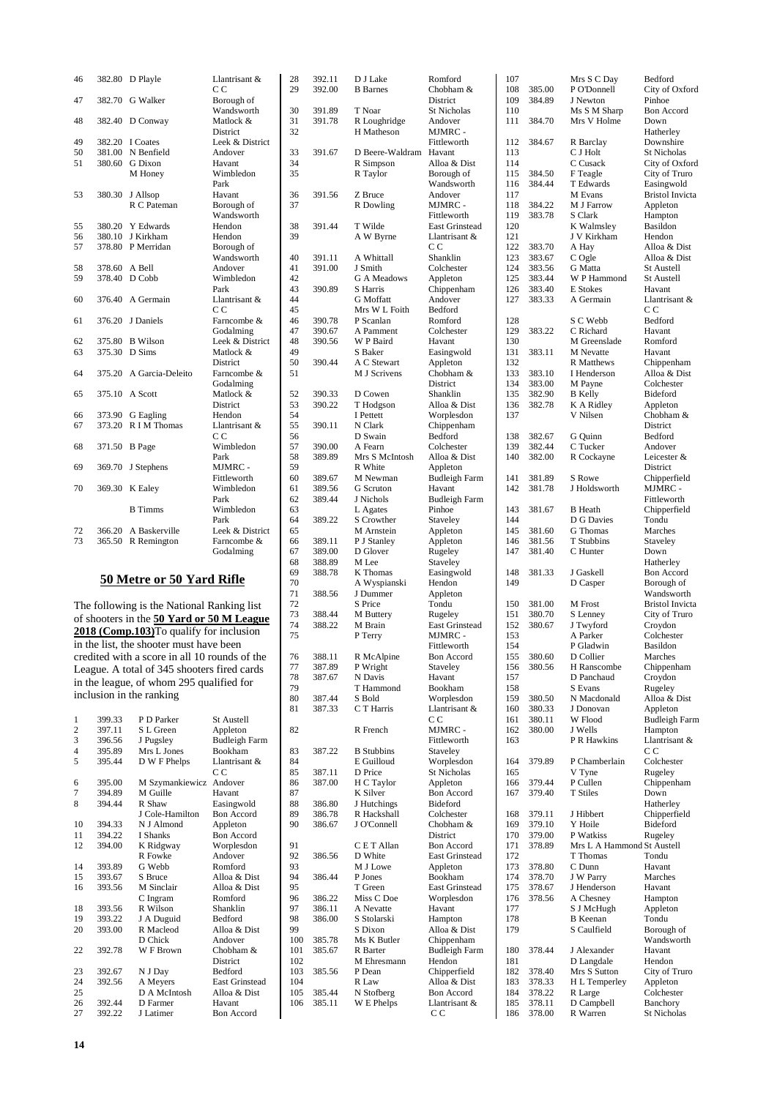| 46 | 382.80 | D Playle         | Llantrisant &<br>C <sub>C</sub> |
|----|--------|------------------|---------------------------------|
| 47 | 382.70 | G Walker         | Borough of                      |
|    |        |                  | Wandsworth                      |
| 48 | 382.40 | D Conway         | Matlock &                       |
|    |        |                  | District                        |
| 49 | 382.20 | I Coates         | Leek & District                 |
| 50 | 381.00 | N Benfield       | Andover                         |
| 51 | 380.60 | G Dixon          | Havant                          |
|    |        | M Honey          | Wimbledon                       |
|    |        |                  | Park                            |
| 53 | 380.30 | J Allsop         | Havant                          |
|    |        | R C Pateman      | Borough of                      |
|    |        |                  | Wandsworth                      |
| 55 | 380.20 | Y Edwards        | Hendon                          |
| 56 | 380.10 | J Kirkham        | Hendon                          |
| 57 | 378.80 | P Merridan       | Borough of                      |
|    |        |                  | Wandsworth                      |
| 58 | 378.60 | A Bell           | Andover                         |
| 59 | 378.40 | D Cobb           | Wimbledon                       |
|    |        |                  | Park                            |
| 60 | 376.40 | A Germain        | Llantrisant &                   |
|    |        |                  | C C                             |
| 61 | 376.20 | J Daniels        | Farncombe &                     |
|    |        |                  | Godalming                       |
| 62 | 375.80 | <b>B</b> Wilson  | Leek & District                 |
| 63 | 375.30 | D Sims           | Matlock &                       |
|    |        |                  | District                        |
| 64 | 375.20 | A Garcia-Deleito | Farncombe &                     |
|    |        |                  | Godalming                       |
| 65 | 375.10 | A Scott          | Matlock &                       |
|    |        |                  | <b>District</b>                 |
| 66 | 373.90 | G Eagling        | Hendon                          |
| 67 | 373.20 | R I M Thomas     | Llantrisant &                   |
|    |        |                  | C C                             |
| 68 | 371.50 | <b>B</b> Page    | Wimbledon                       |
|    |        |                  | Park                            |
| 69 | 369.70 | J Stephens       | MJMRC -                         |
|    |        |                  | Fittleworth                     |
| 70 | 369.30 | K Ealey          | Wimbledon                       |
|    |        |                  | Park                            |
|    |        | <b>B</b> Timms   | Wimbledon                       |
|    |        |                  | Park                            |
| 72 | 366.20 | A Baskerville    | Leek & District                 |
| 73 | 365.50 | R Remington      | Farncombe &                     |
|    |        |                  | Godalming                       |

## **50 Metre or 50 Yard Rifle**

The following is the National Ranking list of shooters in the **50 Yard or 50 M League 2018 (Comp.103)**To qualify for inclusion in the list, the shooter must have been credited with a score in all 10 rounds of the League. A total of 345 shooters fired cards in the league, of whom 295 qualified for inclusion in the ranking

| 1              | 399.33 | P D Parker      | <b>St Austell</b>     |
|----------------|--------|-----------------|-----------------------|
| $\overline{c}$ | 397.11 | S L Green       | Appleton              |
| $\overline{3}$ | 396.56 | J Pugsley       | Budleigh Farm         |
| $\overline{4}$ | 395.89 | Mrs L Jones     | <b>Bookham</b>        |
| 5              | 395.44 | D W F Phelps    | Llantrisant &         |
|                |        |                 | C C                   |
| 6              | 395.00 | M Szymankiewicz | Andover               |
| 7              | 394.89 | M Guille        | Havant                |
| 8              | 394.44 | R Shaw          | Easingwold            |
|                |        | J Cole-Hamilton | <b>Bon Accord</b>     |
| 10             | 394.33 | N J Almond      | Appleton              |
| 11             | 394.22 | I Shanks        | <b>Bon Accord</b>     |
| 12             | 394.00 | K Ridgway       | Worplesdon            |
|                |        | R Fowke         | Andover               |
| 14             | 393.89 | G Webb          | Romford               |
| 15             | 393.67 | S Bruce         | Alloa & Dist          |
| 16             | 393.56 | M Sinclair      | Alloa & Dist          |
|                |        | C Ingram        | Romford               |
| 18             | 393.56 | R Wilson        | Shanklin              |
| 19             | 393.22 | J A Duguid      | <b>Bedford</b>        |
| 20             | 393.00 | R Macleod       | Alloa & Dist          |
|                |        | D Chick         | Andover               |
| 22             | 392.78 | W F Brown       | Chobham &             |
|                |        |                 | District              |
| 23             | 392.67 | N J Day         | <b>Bedford</b>        |
| 24             | 392.56 | A Meyers        | <b>East Grinstead</b> |
| 25             |        | D A McIntosh    | Alloa & Dist          |
| 26             | 392.44 | D Farmer        | Havant                |
| 27             | 392.22 | J Latimer       | <b>Bon Accord</b>     |
|                |        |                 |                       |

| 28         | 392.11           | D J Lake                     | Romford                                    |
|------------|------------------|------------------------------|--------------------------------------------|
| 29         | 392.00           | <b>B</b> Barnes              | Chobham &<br>District                      |
| 30         | 391.89           | T Noar                       | <b>St Nicholas</b>                         |
| 31         | 391.78           | R Loughridge                 | Andover                                    |
| 32         |                  | H Matheson                   | MJMRC -                                    |
| 33         | 391.67           | D Beere-Waldram              | Fittleworth<br>Havant                      |
| 34         |                  | R Simpson                    | Alloa & Dist                               |
| 35         |                  | R Taylor                     | Borough of                                 |
| 36         | 391.56           | Z Bruce                      | Wandsworth<br>Andover                      |
| 37         |                  | R Dowling                    | MJMRC -                                    |
|            |                  |                              | Fittleworth                                |
| 38         | 391.44           | T Wilde                      | <b>East Grinstead</b>                      |
| 39         |                  | A W Byrne                    | Llantrisant &<br>СC                        |
| 40         | 391.11           | A Whittall                   | Shanklin                                   |
| 41         | 391.00           | J Smith                      | Colchester                                 |
| 42         |                  | G A Meadows                  | Appleton                                   |
| 43<br>44   | 390.89           | S Harris<br><b>G</b> Moffatt | Chippenham<br>Andover                      |
| 45         |                  | Mrs W L Foith                | Bedford                                    |
| 46         | 390.78           | P Scanlan                    | Romford                                    |
| 47         | 390.67           | A Pamment                    | Colchester                                 |
| 48<br>49   | 390.56           | W P Baird<br>S Baker         | Havant<br>Easingwold                       |
| 50         | 390.44           | A C Stewart                  | Appleton                                   |
| 51         |                  | M J Scrivens                 | Chobham &                                  |
|            |                  |                              | District                                   |
| 52<br>53   | 390.33<br>390.22 | D Cowen<br>T Hodgson         | Shanklin<br>Alloa & Dist                   |
| 54         |                  | I Pettett                    | Worplesdon                                 |
| 55         | 390.11           | N Clark                      | Chippenham                                 |
| 56         |                  | D Swain                      | Bedford                                    |
| 57<br>58   | 390.00<br>389.89 | A Fearn<br>Mrs S McIntosh    | Colchester<br>Alloa & Dist                 |
| 59         |                  | R White                      | Appleton                                   |
| 60         | 389.67           | M Newman                     | Budleigh Farm                              |
| 61         | 389.56<br>389.44 | G Scruton                    | Havant                                     |
| 62<br>63   |                  | J Nichols<br>L Agates        | Budleigh Farm<br>Pinhoe                    |
| 64         | 389.22           | S Crowther                   | Staveley                                   |
| 65         |                  | M Arnstein                   | Appleton                                   |
| 66<br>67   | 389.11<br>389.00 | P J Stanley<br>D Glover      | Appleton                                   |
| 68         | 388.89           | M Lee                        | Rugeley<br>Staveley                        |
| 69         | 388.78           | K Thomas                     | Easingwold                                 |
| 70         |                  | A Wyspianski                 | Hendon                                     |
| 71<br>72   | 388.56           | J Dummer<br>S Price          | Appleton<br>Tondu                          |
| 73         | 388.44           | M Buttery                    | Rugeley                                    |
| 74         | 388.22           | M Brain                      | East Grinstead                             |
| 75         |                  | P Terry                      | MJMRC -<br>Fittleworth                     |
| 76         | 388.11           | R McAlpine                   | <b>Bon Accord</b>                          |
| 77         | 387.89           | P Wright                     | Staveley                                   |
| 78         | 387.67           | N Davis                      | Havant                                     |
| 79<br>80   |                  | T Hammond<br>S Bold          | Bookham                                    |
| 81         | 387.44<br>387.33 | C T Harris                   | Worplesdon<br>Llantrisant &                |
|            |                  |                              | CС                                         |
| 82         |                  | R French                     | MJMRC -                                    |
| 83         | 387.22           | <b>B</b> Stubbins            | Fittleworth<br>Staveley                    |
| 84         |                  | E Guilloud                   | Worplesdon                                 |
| 85         | 387.11           | D Price                      | St Nicholas                                |
| 86         | 387.00           | H C Taylor                   | Appleton                                   |
| 87<br>88   | 386.80           | K Silver<br>J Hutchings      | <b>Bon Accord</b><br><b>Bideford</b>       |
| 89         | 386.78           | R Hackshall                  | Colchester                                 |
| 90         | 386.67           | J O'Connell                  | Chobham &                                  |
|            |                  |                              | District                                   |
| 91<br>92   | 386.56           | C E T Allan<br>D White       | <b>Bon Accord</b><br><b>East Grinstead</b> |
| 93         |                  | M J Lowe                     | Appleton                                   |
| 94         | 386.44           | P Jones                      | Bookham                                    |
| 95         |                  | T Green                      | East Grinstead                             |
| 96<br>97   | 386.22<br>386.11 | Miss C Doe<br>A Nevatte      | Worplesdon<br>Havant                       |
| 98         | 386.00           | S Stolarski                  | Hampton                                    |
| 99         |                  | S Dixon                      | Alloa & Dist                               |
| 100        | 385.78           | Ms K Butler                  | Chippenham                                 |
| 101<br>102 | 385.67           | R Barter<br>M Ehresmann      | Budleigh Farm<br>Hendon                    |
| 103        | 385.56           | P Dean                       | Chipperfield                               |
| 104        |                  | R Law                        | Alloa & Dist                               |
| 105<br>106 | 385.44           | N Stofberg                   | <b>Bon Accord</b>                          |
|            | 385.11           | W E Phelps                   | Llantrisant &<br>C C                       |
|            |                  |                              |                                            |

| 107        |                  | Mrs S C Day                | Bedford                 |
|------------|------------------|----------------------------|-------------------------|
| 108        | 385.00           | P O'Donnell                | City of Oxford          |
| 109        | 384.89           | J Newton                   | Pinhoe                  |
| 110        |                  | Ms S M Sharp               | <b>Bon Accord</b>       |
|            |                  |                            |                         |
| 111        | 384.70           | Mrs V Holme                | Down                    |
|            |                  |                            | Hatherley               |
| 112        | 384.67           | R Barclay                  | Downshire               |
| 113        |                  | C J Holt                   | <b>St Nicholas</b>      |
| 114        |                  | C Cusack                   | City of Oxford          |
|            |                  |                            |                         |
| 115        | 384.50           | F Teagle                   | City of Truro           |
| 116        | 384.44           | T Edwards                  | Easingwold              |
| 117        |                  | M Evans                    | <b>Bristol Invicta</b>  |
| 118        | 384.22           | M J Farrow                 | Appleton                |
| 119        | 383.78           | S Clark                    | Hampton                 |
|            |                  |                            | Basildon                |
| 120        |                  | K Walmsley                 |                         |
| 121        |                  | J V Kirkham                | Hendon                  |
| 122        | 383.70           | A Hay                      | Alloa & Dist            |
| 123        | 383.67           | C Ogle                     | Alloa & Dist            |
| 124        | 383.56           | <b>G</b> Matta             | St Austell              |
| 125        | 383.44           | W P Hammond                | St Austell              |
|            |                  |                            |                         |
| 126        | 383.40           | E Stokes                   | Havant                  |
| 127        | 383.33           | A Germain                  | Llantrisant &           |
|            |                  |                            | СC                      |
| 128        |                  | S C Webb                   | Bedford                 |
| 129        | 383.22           | C Richard                  | Havant                  |
|            |                  |                            | Romford                 |
| 130        |                  | M Greenslade               |                         |
| 131        | 383.11           | M Nevatte                  | Havant                  |
| 132        |                  | <b>R</b> Matthews          | Chippenham              |
| 133        | 383.10           | I Henderson                | Alloa & Dist            |
| 134        | 383.00           | M Payne                    | Colchester              |
|            |                  |                            |                         |
| 135        | 382.90           | <b>B</b> Kelly             | Bideford                |
| 136        | 382.78           | K A Ridley                 | Appleton                |
| 137        |                  | V Nilsen                   | Chobham &               |
|            |                  |                            | District                |
| 138        | 382.67           | G Quinn                    | Bedford                 |
|            |                  |                            |                         |
| 139        | 382.44           | C Tucker                   | Andover                 |
| 140        | 382.00           | R Cockayne                 | Leicester &             |
|            |                  |                            | District                |
| 141        | 381.89           | S Rowe                     | Chipperfield            |
| 142        | 381.78           | J Holdsworth               | MJMRC -                 |
|            |                  |                            |                         |
|            |                  |                            | Fittleworth             |
| 143        | 381.67           | <b>B</b> Heath             | Chipperfield            |
| 144        |                  | D G Davies                 | Tondu                   |
| 145        | 381.60           | <b>G</b> Thomas            | Marches                 |
| 146        | 381.56           | T Stubbins                 | Staveley                |
| 147        | 381.40           | C Hunter                   | Down                    |
|            |                  |                            |                         |
|            |                  |                            | Hatherley               |
| 148        | 381.33           | J Gaskell                  | <b>Bon Accord</b>       |
| 149        |                  | D Casper                   | Borough of              |
|            |                  |                            | Wandsworth              |
| 150        | 381.00           | M Frost                    | <b>Bristol Invicta</b>  |
| 151        | 380.70           |                            | City of Truro           |
|            |                  | S Lenney                   |                         |
| 152        | 380.67           | J Twyford                  | Croydon                 |
| 153        |                  | A Parker                   | Colchester              |
| 154        |                  | P Gladwin                  | <b>Basildon</b>         |
| 155        | 380.60           | D Collier                  | Marches                 |
| 156        | 380.56           | H Ranscombe                |                         |
|            |                  |                            | Chippenham              |
| 157        |                  | D Panchaud                 | Croydon                 |
| 158        |                  | S Evans                    | Rugeley                 |
| 159        | 380.50           | N Macdonald                | Alloa & Dist            |
| 160        | 380.33           | J Donovan                  | Appleton                |
| 161        | 380.11           | W Flood                    | <b>Budleigh Farm</b>    |
| 162        | 380.00           | J Wells                    | Hampton                 |
| 163        |                  | P R Hawkins                | Llantrisant &           |
|            |                  |                            |                         |
|            |                  |                            | C <sub>C</sub>          |
| 164        | 379.89           | P Chamberlain              | Colchester              |
| 165        |                  |                            |                         |
|            |                  |                            | Rugeley                 |
|            |                  | V Tyne                     |                         |
| 166        | 379.44           | P Cullen                   | Chippenham              |
| 167        | 379.40           | <b>T</b> Stiles            | Down                    |
|            |                  |                            | Hatherley               |
| 168        | 379.11           | J Hibbert                  | Chipperfield            |
| 169        | 379.10           | Y Hoile                    | Bideford                |
| 170        | 379.00           | P Watkiss                  |                         |
| 171        |                  |                            | Rugeley                 |
|            | 378.89           | Mrs L A Hammond St Austell |                         |
| 172        |                  | T Thomas                   | Tondu                   |
| 173        | 378.80           | C Dunn                     | Havant                  |
| 174        | 378.70           | J W Parry                  | Marches                 |
| 175        | 378.67           | J Henderson                | Havant                  |
| 176        | 378.56           |                            |                         |
|            |                  | A Chesney                  | Hampton                 |
| 177        |                  | S J McHugh                 | Appleton                |
| 178        |                  | <b>B</b> Keenan            | Tondu                   |
| 179        |                  | S Caulfield                | Borough of              |
|            |                  |                            | Wandsworth              |
| 180        | 378.44           | J Alexander                | Havant                  |
|            |                  |                            |                         |
| 181        |                  | D Langdale                 | Hendon                  |
| 182        | 378.40           | Mrs S Sutton               | City of Truro           |
| 183        | 378.33           | H L Temperley              | Appleton                |
| 184        | 378.22           | R Large                    | Colchester              |
| 185<br>186 | 378.11<br>378.00 | D Campbell<br>R Warren     | Banchory<br>St Nicholas |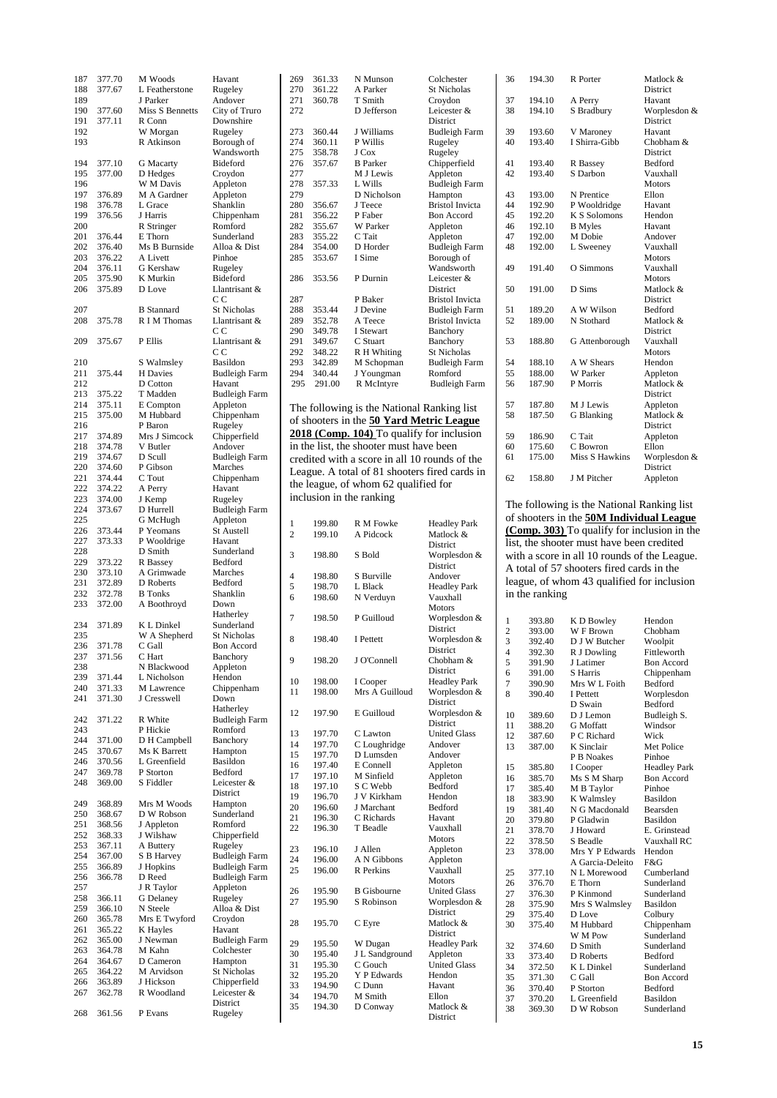| 187 | 377.70 | M Woods           | Havant               |
|-----|--------|-------------------|----------------------|
|     |        |                   |                      |
| 188 | 377.67 | L Featherstone    | Rugeley              |
| 189 |        | J Parker          | Andover              |
| 190 | 377.60 | Miss S Bennetts   | City of Truro        |
|     |        |                   |                      |
| 191 | 377.11 | R Conn            | Downshire            |
| 192 |        | W Morgan          | Rugeley              |
| 193 |        | R Atkinson        | Borough of           |
|     |        |                   |                      |
|     |        |                   | Wandsworth           |
| 194 | 377.10 | <b>G</b> Macarty  | Bideford             |
| 195 | 377.00 | D Hedges          | Croydon              |
|     |        |                   |                      |
| 196 |        | W M Davis         | Appleton             |
| 197 | 376.89 | M A Gardner       | Appleton             |
| 198 | 376.78 | L Grace           | Shanklin             |
|     |        |                   |                      |
| 199 | 376.56 | J Harris          | Chippenham           |
| 200 |        | R Stringer        | Romford              |
| 201 | 376.44 | E Thorn           | Sunderland           |
|     |        |                   |                      |
| 202 | 376.40 | Ms B Burnside     | Alloa & Dist         |
| 203 | 376.22 | A Livett          | Pinhoe               |
| 204 | 376.11 | G Kershaw         | Rugeley              |
|     |        |                   |                      |
| 205 | 375.90 | K Murkin          | Bideford             |
| 206 | 375.89 | D Love            | Llantrisant &        |
|     |        |                   | cс                   |
|     |        |                   |                      |
| 207 |        | <b>B</b> Stannard | St Nicholas          |
| 208 | 375.78 | R I M Thomas      | Llantrisant &        |
|     |        |                   | СC                   |
|     |        |                   |                      |
| 209 | 375.67 | P Ellis           | Llantrisant &        |
|     |        |                   | C.C                  |
| 210 |        | S Walmsley        | Basildon             |
|     |        |                   |                      |
| 211 | 375.44 | H Davies          | <b>Budleigh Farm</b> |
| 212 |        | D Cotton          | Havant               |
| 213 | 375.22 | T Madden          | <b>Budleigh Farm</b> |
|     |        |                   |                      |
| 214 | 375.11 | E Compton         | Appleton             |
| 215 | 375.00 | M Hubbard         | Chippenham           |
| 216 |        | P Baron           | Rugeley              |
|     |        |                   |                      |
| 217 | 374.89 | Mrs J Simcock     | Chipperfield         |
| 218 | 374.78 | V Butler          | Andover              |
| 219 | 374.67 | D Scull           | <b>Budleigh Farm</b> |
|     |        |                   |                      |
| 220 | 374.60 | P Gibson          | Marches              |
| 221 | 374.44 | C Tout            | Chippenham           |
| 222 | 374.22 | A Perry           | Havant               |
|     |        |                   |                      |
| 223 | 374.00 | J Kemp            | Rugeley              |
| 224 | 373.67 | D Hurrell         | Budleigh Farm        |
| 225 |        | G McHugh          | Appleton             |
|     |        |                   |                      |
| 226 | 373.44 | P Yeomans         | St Austell           |
| 227 | 373.33 | P Wooldrige       | Havant               |
| 228 |        |                   |                      |
|     |        | D Smith           | Sunderland           |
|     |        |                   |                      |
| 229 | 373.22 | R Bassey          | Bedford              |
|     |        |                   |                      |
| 230 | 373.10 | A Grimwade        | Marches              |
| 231 | 372.89 | D Roberts         | Bedford              |
| 232 | 372.78 | <b>B</b> Tonks    | Shanklin             |
|     |        |                   |                      |
| 233 | 372.00 | A Boothroyd       | Down                 |
|     |        |                   | Hatherley            |
| 234 | 371.89 | K L Dinkel        | Sunderland           |
|     |        |                   |                      |
| 235 |        | W A Shepherd      | <b>St Nicholas</b>   |
| 236 | 371.78 | C Gall            | <b>Bon Accord</b>    |
| 237 | 371.56 |                   | Banchory             |
|     |        | C Hart            |                      |
| 238 |        | N Blackwood       | Appleton             |
| 239 | 371.44 | L Nicholson       | Hendon               |
| 240 | 371.33 | M Lawrence        | Chippenham           |
|     |        |                   |                      |
| 241 | 371.30 | J Cresswell       | Down                 |
|     |        |                   | Hatherley            |
| 242 | 371.22 | R White           | <b>Budleigh Farm</b> |
| 243 |        | P Hickie          | Romford              |
|     |        |                   |                      |
| 244 | 371.00 | D H Campbell      | Banchory             |
| 245 | 370.67 | Ms K Barrett      | Hampton              |
| 246 | 370.56 | L Greenfield      | Basildon             |
|     |        |                   |                      |
| 247 | 369.78 | P Storton         | Bedford              |
| 248 | 369.00 | S Fiddler         | Leicester &          |
|     |        |                   | District             |
|     |        |                   |                      |
| 249 | 368.89 | Mrs M Woods       | Hampton              |
| 250 | 368.67 | D W Robson        | Sunderland           |
| 251 | 368.56 | J Appleton        | Romford              |
|     |        |                   |                      |
| 252 | 368.33 | J Wilshaw         | Chipperfield         |
| 253 | 367.11 | A Buttery         | Rugeley              |
| 254 | 367.00 | S B Harvey        | Budleigh Farm        |
|     |        |                   |                      |
| 255 | 366.89 | J Hopkins         | <b>Budleigh Farm</b> |
| 256 | 366.78 | D Reed            | Budleigh Farm        |
| 257 |        | J R Taylor        | Appleton             |
|     |        |                   |                      |
| 258 | 366.11 | G Delaney         | Rugeley              |
| 259 | 366.10 | N Steele          | Alloa & Dist         |
| 260 |        |                   | Croydon              |
|     | 365.78 | Mrs E Twyford     |                      |
| 261 | 365.22 | K Hayles          | Havant               |
| 262 | 365.00 | J Newman          | <b>Budleigh Farm</b> |
| 263 |        |                   |                      |
|     | 364.78 | M Kahn            | Colchester           |
| 264 | 364.67 | D Cameron         | Hampton              |
| 265 | 364.22 | M Arvidson        | St Nicholas          |
|     |        |                   |                      |
| 266 | 363.89 | J Hickson         | Chipperfield         |
| 267 | 362.78 | R Woodland        | Leicester &          |
|     |        |                   | District             |
| 268 | 361.56 | P Evans           | Rugeley              |

| 269 | 361.33 | N Munson         | Colchester             |
|-----|--------|------------------|------------------------|
| 270 | 361.22 | A Parker         | <b>St Nicholas</b>     |
| 271 | 360.78 | T Smith          | Croydon                |
| 272 |        | D Jefferson      | Leicester &            |
|     |        |                  | <b>District</b>        |
| 273 | 360.44 | J Williams       | <b>Budleigh Farm</b>   |
| 274 | 360.11 | P Willis         | Rugeley                |
| 275 | 358.78 | J Cox            | Rugeley                |
| 276 | 357.67 | <b>B</b> Parker  | Chipperfield           |
| 277 |        | M J Lewis        | Appleton               |
| 278 | 357.33 | L Wills          | <b>Budleigh Farm</b>   |
| 279 |        | D Nicholson      | Hampton                |
| 280 | 356.67 | J Teece          | <b>Bristol Invicta</b> |
| 281 | 356.22 | P Faber          | <b>Bon Accord</b>      |
| 282 | 355.67 | W Parker         | Appleton               |
| 283 | 355.22 | C Tait           | Appleton               |
| 284 | 354.00 | D Horder         | <b>Budleigh Farm</b>   |
| 285 | 353.67 | I Sime           | Borough of             |
|     |        |                  | Wandsworth             |
| 286 | 353.56 | P Durnin         | Leicester &            |
|     |        |                  | <b>District</b>        |
| 287 |        | P Baker          | <b>Bristol Invicta</b> |
| 288 | 353.44 | J Devine         | <b>Budleigh Farm</b>   |
| 289 | 352.78 | A Teece          | <b>Bristol Invicta</b> |
| 290 | 349.78 | <b>I</b> Stewart | Banchory               |
| 291 | 349.67 | C Stuart         | Banchory               |
| 292 | 348.22 | R H Whiting      | <b>St Nicholas</b>     |
| 293 | 342.89 | M Schopman       | <b>Budleigh Farm</b>   |
| 294 | 340.44 | J Youngman       | Romford                |
| 295 | 291.00 | R McIntyre       | <b>Budleigh Farm</b>   |
|     |        |                  |                        |
|     |        |                  |                        |

The following is the National Ranking list of shooters in the **50 Yard Metric League 2018 (Comp. 104)** To qualify for inclusion in the list, the shooter must have been credited with a score in all 10 rounds of the League. A total of 81 shooters fired cards in the league, of whom 62 qualified for inclusion in the ranking

| 1              | 199.80 | R M Fowke          | <b>Headley Park</b> |
|----------------|--------|--------------------|---------------------|
| $\overline{c}$ | 199.10 | A Pidcock          | Matlock &           |
|                |        |                    | District            |
| 3              | 198.80 | S Bold             | Worplesdon &        |
|                |        |                    | District            |
| 4              | 198.80 | S Burville         | Andover             |
| 5              | 198.70 | L Black            | <b>Headley Park</b> |
| 6              | 198.60 | N Verduyn          | Vauxhall            |
|                |        |                    | Motors              |
| 7              | 198.50 | P Guilloud         | Worplesdon &        |
|                |        |                    | District            |
| 8              | 198.40 | I Pettett          | Worplesdon &        |
|                |        |                    | District            |
| 9              | 198.20 | J O'Connell        | Chobham &           |
|                |        |                    | District            |
| 10             | 198.00 | I Cooper           | <b>Headley Park</b> |
| 11             | 198.00 | Mrs A Guilloud     | Worplesdon &        |
|                |        |                    | District            |
| 12             | 197.90 | E Guilloud         | Worplesdon &        |
|                |        |                    | District            |
| 13             | 197.70 | C Lawton           | <b>United Glass</b> |
| 14             | 197.70 | C Loughridge       | Andover             |
| 15             | 197.70 | D Lumsden          | Andover             |
| 16             | 197.40 | E Connell          | Appleton            |
| 17             | 197.10 | M Sinfield         | Appleton            |
| 18             | 197.10 | S C Webb           | Bedford             |
| 19             | 196.70 | J V Kirkham        | Hendon              |
| 20             | 196.60 | J Marchant         | Bedford             |
| 21             | 196.30 | C Richards         | Havant              |
| 22             | 196.30 | T Beadle           | Vauxhall            |
|                |        |                    | Motors              |
| 23             | 196.10 | J Allen            | Appleton            |
| 24             | 196.00 | A N Gibbons        | Appleton            |
| 25             | 196.00 | <b>R</b> Perkins   | Vauxhall            |
|                |        |                    | Motors              |
| 26             | 195.90 | <b>B</b> Gisbourne | <b>United Glass</b> |
| 27             | 195.90 | S Robinson         | Worplesdon &        |
|                |        |                    | District            |
| 28             | 195.70 | C Eyre             | Matlock &           |
|                |        |                    | District            |
| 29             | 195.50 | W Dugan            | <b>Headley Park</b> |
| 30             | 195.40 | J L Sandground     | Appleton            |
| 31             | 195.30 | C Gouch            | <b>United Glass</b> |
| 32             | 195.20 | Y P Edwards        | Hendon              |
| 33             | 194.90 | C Dunn             | Havant              |
| 34             | 194.70 | M Smith            | Ellon               |
| 35             | 194.30 | D Conway           | Matlock &           |
|                |        |                    | District            |
|                |        |                    |                     |

| 36 | 194.30 | R Porter            | Matlock &       |
|----|--------|---------------------|-----------------|
|    |        |                     | <b>District</b> |
| 37 | 194.10 | A Perry             | Havant          |
| 38 | 194.10 | S Bradbury          | Worplesdon &    |
|    |        |                     | <b>District</b> |
| 39 | 193.60 | V Maroney           | Havant          |
| 40 | 193.40 | I Shirra-Gibb       | Chobham &       |
|    |        |                     | <b>District</b> |
| 41 | 193.40 | R Bassey            | <b>Bedford</b>  |
| 42 | 193.40 | S Darbon            | Vauxhall        |
|    |        |                     | <b>Motors</b>   |
| 43 | 193.00 | N Prentice          | Ellon           |
| 44 | 192.90 | P Wooldridge        | Havant          |
| 45 | 192.20 | <b>K S Solomons</b> | Hendon          |
| 46 | 192.10 | <b>B</b> Myles      | Havant          |
| 47 | 192.00 | M Dobie             | Andover         |
| 48 | 192.00 | L Sweeney           | Vauxhall        |
|    |        |                     | Motors          |
| 49 | 191.40 | O Simmons           | Vauxhall        |
|    |        |                     | <b>Motors</b>   |
| 50 | 191.00 | D Sims              | Matlock &       |
|    |        |                     | <b>District</b> |
| 51 | 189.20 | A W Wilson          | <b>Bedford</b>  |
| 52 | 189.00 | N Stothard          | Matlock &       |
|    |        |                     | <b>District</b> |
| 53 | 188.80 | G Attenborough      | Vauxhall        |
|    |        |                     | <b>Motors</b>   |
| 54 | 188.10 | A W Shears          | Hendon          |
| 55 | 188.00 | W Parker            | Appleton        |
| 56 | 187.90 | P Morris            | Matlock &       |
|    |        |                     | District        |
| 57 | 187.80 | M J Lewis           | Appleton        |
| 58 | 187.50 | G Blanking          | Matlock &       |
|    |        |                     | <b>District</b> |
| 59 | 186.90 | C Tait              | Appleton        |
| 60 | 175.60 | C Bowron            | Ellon           |
| 61 | 175.00 | Miss S Hawkins      | Worplesdon &    |
|    |        |                     | <b>District</b> |
| 62 | 158.80 | J M Pitcher         | Appleton        |
|    |        |                     |                 |

The following is the National Ranking list of shooters in the **50M Individual League (Comp. 303)** To qualify for inclusion in the list, the shooter must have been credited with a score in all 10 rounds of the League. A total of 57 shooters fired cards in the league, of whom 43 qualified for inclusion in the ranking

| $\mathbf{1}$   | 393.80 | K D Bowley            | Hendon              |
|----------------|--------|-----------------------|---------------------|
| $\overline{c}$ | 393.00 | W F Brown             | Chobham             |
| 3              | 392.40 | D J W Butcher         | Woolpit             |
| $\overline{4}$ | 392.30 | R J Dowling           | Fittleworth         |
| 5              | 391.90 | J Latimer             | <b>Bon Accord</b>   |
| 6              | 391.00 | <b>S</b> Harris       | Chippenham          |
| 7              | 390.90 | Mrs W L Foith         | Bedford             |
| 8              | 390.40 | I Pettett             | Worplesdon          |
|                |        | D Swain               | <b>Bedford</b>      |
| 10             | 389.60 | D J Lemon             | Budleigh S.         |
| 11             | 388.20 | <b>G</b> Moffatt      | Windsor             |
| 12             | 387.60 | P C Richard           | Wick                |
| 13             | 387.00 | K Sinclair            | Met Police          |
|                |        | P <sub>B</sub> Noakes | Pinhoe              |
| 15             | 385.80 | I Cooper              | <b>Headley Park</b> |
| 16             | 385.70 | Ms S M Sharp          | <b>Bon Accord</b>   |
| 17             | 385.40 | M B Taylor            | Pinhoe              |
| 18             | 383.90 | K Walmsley            | Basildon            |
| 19             | 381.40 | N G Macdonald         | Bearsden            |
| 20             | 379.80 | P Gladwin             | <b>Basildon</b>     |
| 21             | 378.70 | J Howard              | E. Grinstead        |
| 22             | 378.50 | S Beadle              | Vauxhall RC         |
| 23             | 378.00 | Mrs Y P Edwards       | Hendon              |
|                |        | A Garcia-Deleito      | F&G                 |
| 25             | 377.10 | N L Morewood          | Cumberland          |
| 26             | 376.70 | <b>E</b> Thorn        | Sunderland          |
| 27             | 376.30 | P Kinmond             | Sunderland          |
| 28             | 375.90 | Mrs S Walmsley        | Basildon            |
| 29             | 375.40 | D Love                | Colbury             |
| 30             | 375.40 | M Hubbard             | Chippenham          |
|                |        | W M Pow               | Sunderland          |
| 32             | 374.60 | D Smith               | Sunderland          |
| 33             | 373.40 | D Roberts             | <b>Bedford</b>      |
| 34             | 372.50 | K L Dinkel            | Sunderland          |
| 35             | 371.30 | C Gall                | <b>Bon Accord</b>   |
| 36             | 370.40 | P Storton             | <b>Bedford</b>      |
| 37             | 370.20 | L Greenfield          | Basildon            |
| 38             | 369.30 | D W Robson            | Sunderland          |
|                |        |                       |                     |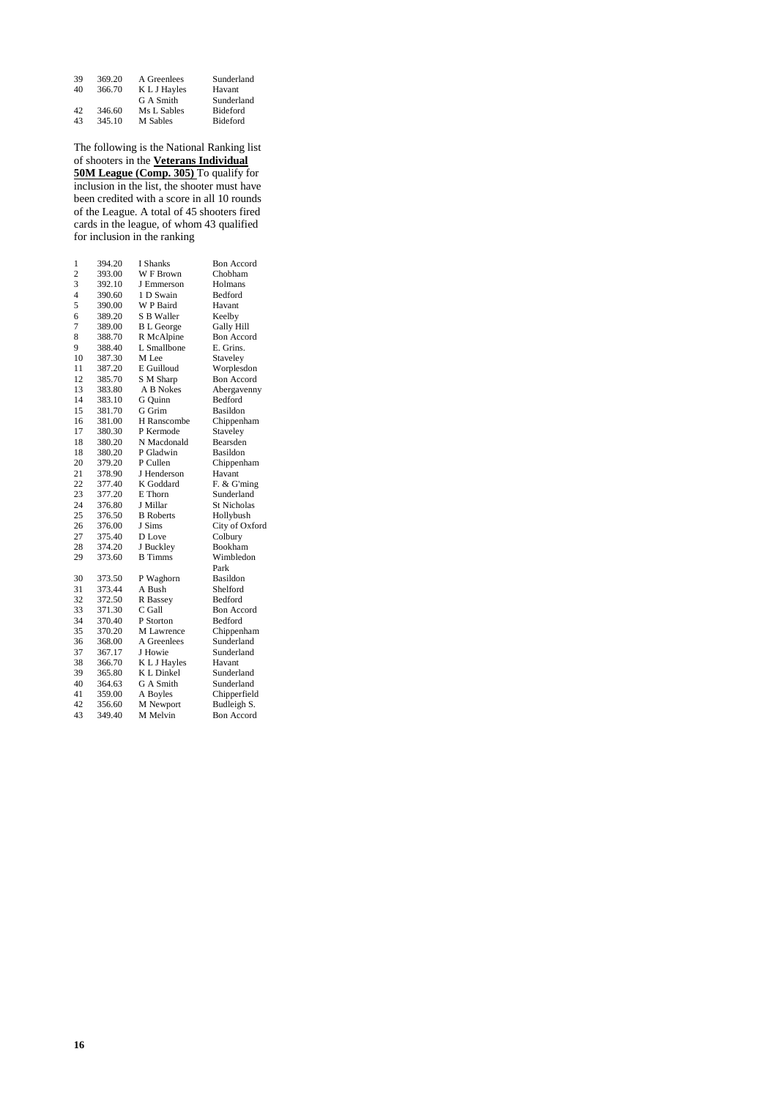| 39 | 369.20 | A Greenlees  | Sunderland      |
|----|--------|--------------|-----------------|
| 40 | 366.70 | K L J Hayles | Havant          |
|    |        | G A Smith    | Sunderland      |
| 42 | 346.60 | Ms L Sables  | <b>Bideford</b> |
| 43 | 345.10 | M Sables     | <b>Bideford</b> |

The following is the National Ranking list of shooters in the **Veterans Individual 50M League (Comp. 305)** To qualify for inclusion in the list, the shooter must have been credited with a score in all 10 rounds of the League. A total of 45 shooters fired cards in the league, of whom 43 qualified for inclusion in the ranking

| $\mathbf{1}$            | 394.20 | <b>I</b> Shanks   | <b>Bon Accord</b>  |
|-------------------------|--------|-------------------|--------------------|
| $\overline{c}$          | 393.00 | W F Brown         | Chobham            |
| $\overline{3}$          | 392.10 | J Emmerson        | Holmans            |
| $\overline{\mathbf{4}}$ | 390.60 | 1 D Swain         | <b>Bedford</b>     |
| 5                       | 390.00 | W P Baird         | Havant             |
| 6                       | 389.20 | <b>S B Waller</b> | Keelby             |
| 7                       | 389.00 | <b>B</b> L George | Gally Hill         |
| 8                       | 388.70 | R McAlpine        | <b>Bon Accord</b>  |
| 9                       | 388.40 | L. Smallbone      | E. Grins.          |
| 10                      | 387.30 | M Lee             | Staveley           |
| 11                      | 387.20 | E Guilloud        | Worplesdon         |
| 12                      | 385.70 | S M Sharp         | <b>Bon Accord</b>  |
| 13                      | 383.80 | A B Nokes         | Abergavenny        |
| 14                      | 383.10 | G Quinn           | Bedford            |
| 15                      | 381.70 | G Grim            | Basildon           |
| 16                      | 381.00 | H Ranscombe       | Chippenham         |
| 17                      | 380.30 | P Kermode         | Staveley           |
| 18                      | 380.20 | N Macdonald       | Bearsden           |
| 18                      | 380.20 | P Gladwin         | Basildon           |
| 20                      | 379.20 | P Cullen          | Chippenham         |
| 21                      | 378.90 | J Henderson       | Havant             |
| 22                      | 377.40 | K Goddard         | F. & G'ming        |
| 23                      | 377.20 | E Thorn           | Sunderland         |
| 24                      | 376.80 | J Millar          | <b>St Nicholas</b> |
| 25                      | 376.50 | <b>B</b> Roberts  | Hollybush          |
| 26                      | 376.00 | J Sims            | City of Oxford     |
| 27                      | 375.40 | D Love            | Colbury            |
| 28                      | 374.20 | J Buckley         | Bookham            |
| 29                      | 373.60 | <b>B</b> Timms    | Wimbledon          |
|                         |        |                   | Park               |
| 30                      | 373.50 | P Waghorn         | Basildon           |
| 31                      | 373.44 | A Bush            | Shelford           |
| 32                      | 372.50 | R Bassey          | Bedford            |
| 33                      | 371.30 | C Gall            | <b>Bon Accord</b>  |
| 34                      | 370.40 | P Storton         | Bedford            |
| 35                      | 370.20 | M Lawrence        | Chippenham         |
| 36                      | 368.00 | A Greenlees       | Sunderland         |
| 37                      | 367.17 | J Howie           | Sunderland         |
| 38                      | 366.70 | K L J Hayles      | Havant             |
| 39                      | 365.80 | K L Dinkel        | Sunderland         |
| 40                      | 364.63 | G A Smith         | Sunderland         |
| 41                      | 359.00 | A Boyles          | Chipperfield       |
| 42                      | 356.60 | M Newport         | Budleigh S.        |
| 43                      | 349.40 | M Melvin          | <b>Bon Accord</b>  |